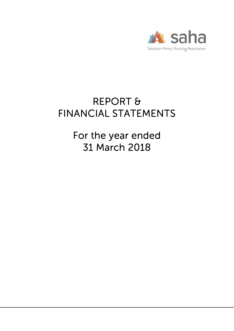

# REPORT & FINANCIAL STATEMENTS

For the year ended 31 March 2018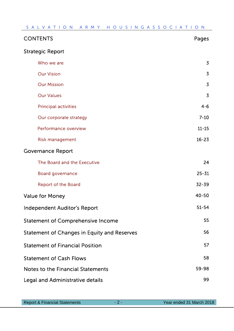| <b>CONTENTS</b>                                    | Pages          |
|----------------------------------------------------|----------------|
| <b>Strategic Report</b>                            |                |
| Who we are                                         | $\overline{3}$ |
| <b>Our Vision</b>                                  | $\overline{3}$ |
| <b>Our Mission</b>                                 | $\overline{3}$ |
| <b>Our Values</b>                                  | $\overline{3}$ |
| <b>Principal activities</b>                        | $4 - 6$        |
| Our corporate strategy                             | $7 - 10$       |
| <b>Performance overview</b>                        | $11 - 15$      |
| <b>Risk management</b>                             | $16 - 23$      |
| <b>Governance Report</b>                           |                |
| The Board and the Executive                        | 24             |
| <b>Board governance</b>                            | $25 - 31$      |
| <b>Report of the Board</b>                         | 32-39          |
| <b>Value for Money</b>                             | $40 - 50$      |
| Independent Auditor's Report                       | $51 - 54$      |
| <b>Statement of Comprehensive Income</b>           | 55             |
| <b>Statement of Changes in Equity and Reserves</b> | 56             |
| <b>Statement of Financial Position</b>             | 57             |
| <b>Statement of Cash Flows</b>                     | 58             |
| Notes to the Financial Statements                  | 59-98          |
| Legal and Administrative details                   | 99             |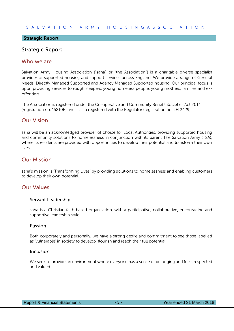#### Strategic Report

### Strategic Report

#### Who we are

Salvation Army Housing Association ("saha" or "the Association") is a charitable diverse specialist provider of supported housing and support services across England. We provide a range of General Needs, Directly Managed Supported and Agency Managed Supported housing. Our principal focus is upon providing services to rough sleepers, young homeless people, young mothers, families and exoffenders.

The Association is registered under the Co-operative and Community Benefit Societies Act 2014 (registration no. 15210R) and is also registered with the Regulator (registration no. LH 2429).

### Our Vision

saha will be an acknowledged provider of choice for Local Authorities, providing supported housing and community solutions to homelessness in conjunction with its parent The Salvation Army (TSA), where its residents are provided with opportunities to develop their potential and transform their own lives.

### Our Mission

saha's mission is 'Transforming Lives' by providing solutions to homelessness and enabling customers to develop their own potential.

### Our Values

#### Servant Leadership

saha is a Christian faith based organisation, with a participative, collaborative, encouraging and supportive leadership style.

#### Passion

Both corporately and personally, we have a strong desire and commitment to see those labelled as 'vulnerable' in society to develop, flourish and reach their full potential.

#### Inclusion

We seek to provide an environment where everyone has a sense of belonging and feels respected and valued.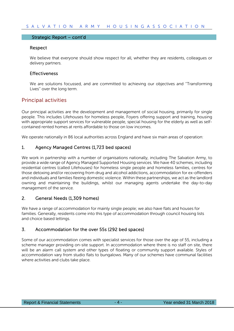#### Strategic Report – cont'd

#### Respect

We believe that everyone should show respect for all, whether they are residents, colleagues or delivery partners.

#### Effectiveness

We are solutions focussed, and are committed to achieving our objectives and ''Transforming Lives'' over the long term.

### Principal activities

Our principal activities are the development and management of social housing, primarily for single people. This includes Lifehouses for homeless people, Foyers offering support and training, housing with appropriate support services for vulnerable people, special housing for the elderly as well as selfcontained rented homes at rents affordable to those on low incomes.

We operate nationally in 86 local authorities across England and have six main areas of operation:

#### 1. Agency Managed Centres (1,723 bed spaces)

We work in partnership with a number of organisations nationally, including The Salvation Army, to provide a wide range of Agency Managed Supported Housing services. We have 40 schemes, including residential centres (called Lifehouses) for homeless single people and homeless families, centres for those detoxing and/or recovering from drug and alcohol addictions, accommodation for ex-offenders and individuals and families fleeing domestic violence. Within these partnerships, we act as the landlord owning and maintaining the buildings, whilst our managing agents undertake the day-to-day management of the service.

#### 2. General Needs (1,309 homes)

We have a range of accommodation for mainly single people; we also have flats and houses for families. Generally, residents come into this type of accommodation through council housing lists and choice based lettings.

#### 3. Accommodation for the over 55s (292 bed spaces)

Some of our accommodation comes with specialist services for those over the age of 55, including a scheme manager providing on-site support. In accommodation where there is no staff on site, there will be an alarm call system and other types of floating or community support available. Styles of accommodation vary from studio flats to bungalows. Many of our schemes have communal facilities where activities and clubs take place.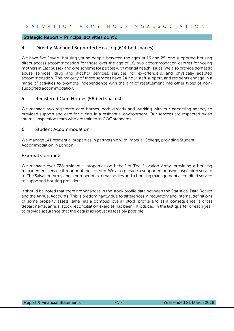#### Strategic Report – Principal activities cont'd

### 4. Directly Managed Supported Housing (614 bed spaces)

We have five Foyers, housing young people between the ages of 16 and 25, one supported housing direct access accommodation for those over the age of 16, two accommodation centres for young mothers in East Sussex and one scheme for people with mental health issues. We also provide domestic abuse services, drug and alcohol services, services for ex-offenders, and physically adapted accommodation. The majority of these services have 24 hour staff support, and residents engage in a range of activities to promote independence with the aim of resettlement into other types of nonsupported accommodation.

### 5. Registered Care Homes (58 bed spaces)

We manage two registered care homes, both directly and working with our partnering agency to provided support and care for clients in a residential environment. Our services are inspected by an internal inspection team who are trained in CQC standards.

#### 6. Student Accommodation

We manage 141 residential properties in partnership with Imperial College, providing Student Accommodation in London.

### External Contracts

We manage over 728 residential properties on behalf of The Salvation Army, providing a housing management service throughout the country. We also provide a supported housing inspection service to The Salvation Army and a number of external bodies and a housing management accredited service to supported housing providers.

It should be noted that there are variances in the stock profile data between the Statistical Data Return and the Annual Accounts. This is predominantly due to differences in regulatory and internal definitions of some property assets. saha has a complex overall stock profile and as a consequence, a cross departmental annual stock reconciliation exercise has been introduced in the last quarter of each year to provide assurance that the data is as robust as feasibly possible.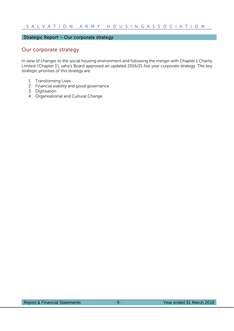### Strategic Report – Our corporate strategy

### Our corporate strategy

In view of changes to the social housing environment and following the merger with Chapter 1 Charity Limited ('Chapter 1'), saha's Board approved an updated 2016/21 five year corporate strategy. The key strategic priorities of this strategy are:

- 1. Transforming Lives
- 2. Financial viability and good governance
- 3. Digitisation
- 4. Organisational and Cultural Change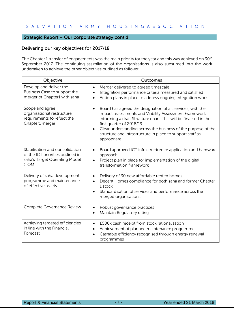### Strategic Report – Our corporate strategy cont'd

### Delivering our key objectives for 2017/18

The Chapter 1 transfer of engagements was the main priority for the year and this was achieved on 30<sup>th</sup> September 2017. The continuing assimilation of the organisations is also subsumed into the work undertaken to achieve the other objectives outlined as follows:

| Objective                                                                                                      | Outcomes                                                                                                                                                                                                                                                                                                                                                                      |
|----------------------------------------------------------------------------------------------------------------|-------------------------------------------------------------------------------------------------------------------------------------------------------------------------------------------------------------------------------------------------------------------------------------------------------------------------------------------------------------------------------|
| Develop and deliver the<br>Business Case to support the<br>merger of Chapter1 with saha                        | Merger delivered to agreed timescale<br>$\bullet$<br>Integration performance criteria measured and satisfied<br>Action plans in place to address ongoing integration work                                                                                                                                                                                                     |
| Scope and agree<br>organisational restructure<br>requirements to reflect the<br>Chapter1 merger                | Board has agreed the designation of all services, with the<br>$\bullet$<br>impact assessments and Viability Assessment Framework<br>informing a draft Structure chart. This will be finalised in the<br>first quarter of 2018/19<br>Clear understanding across the business of the purpose of the<br>structure and infrastructure in place to support staff as<br>appropriate |
| Stabilisation and consolidation<br>of the ICT priorities outlined in<br>saha's Target Operating Model<br>(TOM) | Board approved ICT infrastructure re application and hardware<br>$\bullet$<br>approach.<br>Project plan in place for implementation of the digital<br>transformation framework                                                                                                                                                                                                |
| Delivery of saha development<br>programme and maintenance<br>of effective assets                               | Delivery of 30 new affordable rented homes<br>$\bullet$<br>Decent Homes compliance for both saha and former Chapter<br>$\bullet$<br>1 stock<br>Standardisation of services and performance across the<br>$\bullet$<br>merged organisations                                                                                                                                    |
| Complete Governance Review                                                                                     | Robust governance practices<br>$\bullet$<br>Maintain Regulatory rating<br>$\bullet$                                                                                                                                                                                                                                                                                           |
| Achieving targeted efficiencies<br>in line with the Financial<br>Forecast                                      | £500k cash receipt from stock rationalisation<br>$\bullet$<br>Achievement of planned maintenance programme<br>$\bullet$<br>Cashable efficiency recognised through energy renewal<br>programmes                                                                                                                                                                                |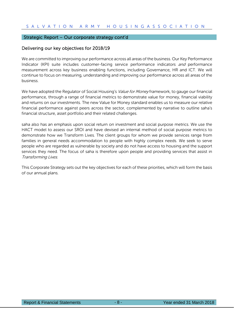#### Strategic Report – Our corporate strategy cont'd

#### Delivering our key objectives for 2018/19

We are committed to improving our performance across all areas of the business. Our Key Performance Indicator (KPI) suite includes customer-facing service performance indicators and performance measurement across key business enabling functions, including Governance, HR and ICT. We will continue to focus on measuring, understanding and improving our performance across all areas of the business.

We have adopted the Regulator of Social Housing's *Value for Money* framework, to gauge our financial performance, through a range of financial metrics to demonstrate value for money, financial viability and returns on our investments. The new Value for Money standard enables us to measure our relative financial performance against peers across the sector, complemented by narrative to outline saha's financial structure, asset portfolio and their related challenges.

saha also has an emphasis upon social return on investment and social purpose metrics. We use the HACT model to assess our SROI and have devised an internal method of social purpose metrics to demonstrate how we Transform Lives. The client groups for whom we provide services range from families in general needs accommodation to people with highly complex needs. We seek to serve people who are regarded as vulnerable by society and do not have access to housing and the support services they need. The focus of saha is therefore upon people and providing services that assist in Transforming Lives.

This Corporate Strategy sets out the key objectives for each of these priorities, which will form the basis of our annual plans.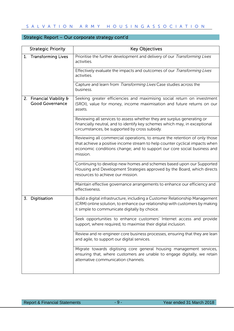### Strategic Report – Our corporate strategy cont'd

| <b>Strategic Priority</b>                          | <b>Key Objectives</b>                                                                                                                                                                                                                            |
|----------------------------------------------------|--------------------------------------------------------------------------------------------------------------------------------------------------------------------------------------------------------------------------------------------------|
| 1. Transforming Lives                              | Prioritise the further development and delivery of our Transforming Lives<br>activities.                                                                                                                                                         |
|                                                    | Effectively evaluate the impacts and outcomes of our Transforming Lives<br>activities.                                                                                                                                                           |
|                                                    | Capture and learn from Transforming Lives Case studies across the<br>business.                                                                                                                                                                   |
| 2. Financial Viability &<br><b>Good Governance</b> | Seeking greater efficiencies and maximising social return on investment<br>(SROI), value for money, income maximisation and future returns on our<br>assets.                                                                                     |
|                                                    | Reviewing all services to assess whether they are surplus generating or<br>financially neutral, and to identify key schemes which may, in exceptional<br>circumstances, be supported by cross subsidy.                                           |
|                                                    | Reviewing all commercial operations, to ensure the retention of only those<br>that achieve a positive income stream to help counter cyclical impacts when<br>economic conditions change; and to support our core social business and<br>mission. |
|                                                    | Continuing to develop new homes and schemes based upon our Supported<br>Housing and Development Strategies approved by the Board, which directs<br>resources to achieve our mission.                                                             |
|                                                    | Maintain effective governance arrangements to enhance our efficiency and<br>effectiveness.                                                                                                                                                       |
| 3. Digitisation                                    | Build a digital infrastructure, including a Customer Relationship Management<br>(CRM) online solution, to enhance our relationship with customers by making<br>it simple to communicate digitally by choice.                                     |
|                                                    | Seek opportunities to enhance customers' Internet access and provide<br>support, where required, to maximise their digital inclusion.                                                                                                            |
|                                                    | Review and re-engineer core business processes, ensuring that they are lean<br>and agile, to support our digital services.                                                                                                                       |
|                                                    | Migrate towards digitising core general housing management services,<br>ensuring that, where customers are unable to engage digitally, we retain<br>alternative communication channels.                                                          |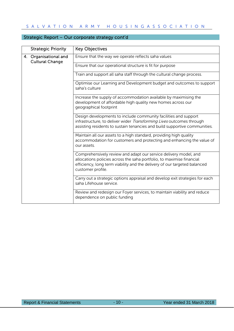| <b>Strategic Priority</b> | <b>Key Objectives</b>                                                                                                                                                                                                                       |
|---------------------------|---------------------------------------------------------------------------------------------------------------------------------------------------------------------------------------------------------------------------------------------|
| 4. Organisational and     | Ensure that the way we operate reflects saha values                                                                                                                                                                                         |
| <b>Cultural Change</b>    | Ensure that our operational structure is fit for purpose                                                                                                                                                                                    |
|                           | Train and support all saha staff through the cultural change process.                                                                                                                                                                       |
|                           | Optimise our Learning and Development budget and outcomes to support<br>saha's culture                                                                                                                                                      |
|                           | Increase the supply of accommodation available by maximising the<br>development of affordable high quality new homes across our<br>geographical footprint                                                                                   |
|                           | Design developments to include community facilities and support<br>infrastructure, to deliver wider Transforming Lives outcomes through<br>assisting residents to sustain tenancies and build supportive communities.                       |
|                           | Maintain all our assets to a high standard, providing high quality<br>accommodation for customers and protecting and enhancing the value of<br>our assets.                                                                                  |
|                           | Comprehensively review and adapt our service delivery model, and<br>allocations policies across the saha portfolio, to maximise financial<br>efficiency, long term viability and the delivery of our targeted balanced<br>customer profile. |
|                           | Carry out a strategic options appraisal and develop exit strategies for each<br>saha Lifehouse service.                                                                                                                                     |
|                           | Review and redesign our Foyer services, to maintain viability and reduce<br>dependence on public funding                                                                                                                                    |

### Strategic Report – Our corporate strategy cont'd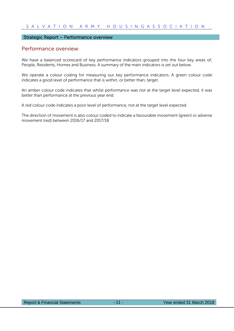#### Strategic Report – Performance overview

#### Performance overview

We have a balanced scorecard of key performance indicators grouped into the four key areas of; People, Residents, Homes and Business. A summary of the main indicators is set out below.

We operate a colour coding for measuring our key performance indicators. A green colour code indicates a good level of performance that is within, or better than, target.

An amber colour code indicates that whilst performance was not at the target level expected, it was better than performance at the previous year end.

A red colour code indicates a poor level of performance, not at the target level expected.

The direction of movement is also colour coded to indicate a favourable movement (green) or adverse movement (red) between 2016/17 and 2017/18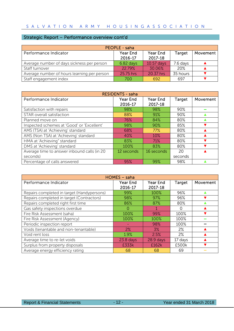### Strategic Report – Performance overview cont'd

| PEOPLE - saha                               |                     |                     |          |          |
|---------------------------------------------|---------------------|---------------------|----------|----------|
| Performance Indicator                       | Year End<br>2016-17 | Year End<br>2017-18 | Target   | Movement |
| Average number of days sickness per person  | $6.82$ days         | 10.57 days          | 7.6 days |          |
| Staff turnover                              | 2279%               | 30.06%              | 20%      |          |
| Average number of hours learning per person | 25.75 hrs           | 20.37 hrs           | 35 hours |          |
| Staff engagement index                      | 700                 | 692                 | 697      |          |

| <b>RESIDENTS - saha</b>                     |                     |                     |         |          |
|---------------------------------------------|---------------------|---------------------|---------|----------|
| Performance Indicator                       | Year End<br>2016-17 | Year End<br>2017-18 | Target  | Movement |
| Satisfaction with repairs                   | 98%                 | 98%                 | 90%     |          |
| STAR overall satisfaction                   | 88%                 | 91%                 | 90%     |          |
| Planned move on                             | 76%                 | 84%                 | 80%     |          |
| Inspected schemes at 'Good' or 'Excellent'  | 98%                 | 90%                 | 85%     |          |
| AMS (TSA) at 'Achieving' standard           | 68%                 | 77%                 | 80%     |          |
| AMS (Non TSA) at 'Achieving' standard       | 40%                 | 10%                 | 80%     |          |
| HMA at 'Achieving" standard                 | 83%                 | 71%                 | 80%     |          |
| DMS at 'Achieving' standard                 | 100%                | 83%                 | 80%     |          |
| Average time to answer inbound calls (in 20 | 12 seconds          | 16 seconds          | 20      |          |
| seconds)                                    |                     |                     | seconds |          |
| Percentage of calls answered                | 95%                 | 99%                 | 98%     |          |

| HOMES - saha                               |             |             |         |          |
|--------------------------------------------|-------------|-------------|---------|----------|
| Performance Indicator                      | Year End    | Year End    | Target  | Movement |
|                                            | 2016-17     | 2017-18     |         |          |
| Repairs completed in target (Handypersons) | 99%         | 100%        | 96%     |          |
| Repairs completed in target (Contractors)  | 98%         | 97%         | 96%     |          |
| Repairs completed right first time         | 86%         | 87%         | 80%     |          |
| Gas safety inspections overdue             | $\Omega$    |             | 0       |          |
| Fire Risk Assessment (saha)                | 100%        | 99%         | 100%    |          |
| Fire Risk Assessment (Agency)              | 100%        | 100%        | 100%    |          |
| Periodic inspection report                 |             | 98%         | 100%    |          |
| Voids (tenantable and non-tenantable)      | 2%          | 3%          | $2\%$   |          |
| Void rent loss                             | 1.9%        | 2.5%        | 2%      |          |
| Average time to re-let voids               | $23.8$ days | $28.9$ days | 17 days |          |
| Surplus from property disposals            | £333k       | £162k       | £500k   |          |
| Average energy efficiency rating           | 68          | 68          | 69      |          |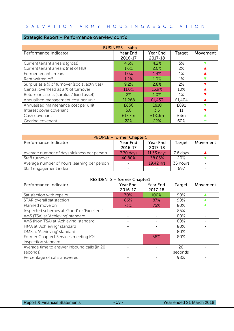### Strategic Report – Performance overview cont'd

| <b>BUSINESS - saha</b>                         |                            |                            |        |          |
|------------------------------------------------|----------------------------|----------------------------|--------|----------|
| Performance Indicator                          | <b>Year End</b><br>2016-17 | <b>Year End</b><br>2017-18 | Target | Movement |
| Current tenant arrears (gross)                 | 4.3%                       | 4.2%                       | 5%     |          |
| Current tenant arrears (net of HB)             | 1.6%                       | 2.0%                       | $2\%$  |          |
| Former tenant arrears                          | 1.0%                       | 1.4%                       | $1\%$  |          |
| Rent written off                               | 1.2%                       | 1.0%                       | $1\%$  |          |
| Surplus as a % of turnover (social activities) | 9.2%                       | 2.8%                       | $2\%$  |          |
| Central overhead as a % of turnover            | 11.0%                      | 13.9%                      | 10%    |          |
| Return on assets (surplus / fixed asset)       | 2%                         | 1.0%                       | $1\%$  |          |
| Annualised management cost per unit            | £1,268                     | £1,433                     | £1,404 |          |
| Annualised maintenance cost per unit           | £856                       | £810                       | £891   |          |
| Interest cover covenant                        | 5.6                        | 3.5                        | 11     |          |
| Cash covenant                                  | £17.7m                     | £18.3m                     | £3m    |          |
| Gearing covenant                               | 22%                        | 22%                        | 60%    |          |

| <b>PEOPLE - former Chapter1</b>             |                     |                            |          |          |
|---------------------------------------------|---------------------|----------------------------|----------|----------|
| Performance Indicator                       | Year End<br>2016-17 | <b>Year End</b><br>2017-18 | Target   | Movement |
| Average number of days sickness per person  | $7.70$ days         | 11.33 days                 | 7.6 days |          |
| Staff turnover                              | 40.80%              | 38.05%                     | 20%      |          |
| Average number of hours learning per person |                     | 19.42 hrs                  | 35 hours |          |
| Staff engagement index                      |                     |                            | 697      |          |

| <b>RESIDENTS - former Chapter1</b>                          |                            |                     |               |          |
|-------------------------------------------------------------|----------------------------|---------------------|---------------|----------|
| Performance Indicator                                       | <b>Year End</b><br>2016-17 | Year End<br>2017-18 | <b>Target</b> | Movement |
| Satisfaction with repairs                                   | 70%                        | 100%                | 90%           |          |
| STAR overall satisfaction                                   | 86%                        | 87%                 | 90%           |          |
| Planned move on                                             | 73%                        | 75%                 | 80%           |          |
| Inspected schemes at 'Good' or 'Excellent'                  |                            |                     | 85%           |          |
| AMS (TSA) at 'Achieving' standard                           |                            |                     | 80%           |          |
| AMS (Non TSA) at 'Achieving' standard                       |                            |                     | 80%           |          |
| HMA at 'Achieving" standard                                 |                            |                     | 80%           |          |
| DMS at 'Achieving' standard                                 |                            |                     | 80%           |          |
| Former Chapter1 Services meeting IQI<br>inspection standard |                            | 58%                 | 80%           |          |
| Average time to answer inbound calls (in 20<br>seconds)     |                            |                     | 20<br>seconds |          |
| Percentage of calls answered                                |                            |                     | 98%           |          |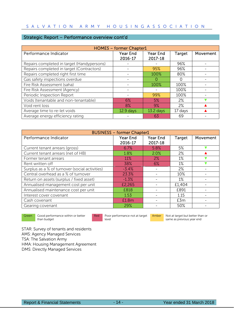### Strategic Report – Performance overview cont'd

| <b>HOMES - former Chapter1</b>             |                 |                 |         |          |
|--------------------------------------------|-----------------|-----------------|---------|----------|
| Performance Indicator                      | <b>Year End</b> | <b>Year End</b> | Target  | Movement |
|                                            | 2016-17         | 2017-18         |         |          |
| Repairs completed in target (Handypersons) |                 |                 | 96%     |          |
| Repairs completed in target (Contractors)  |                 | 95%             | 96%     |          |
| Repairs completed right first time         |                 | 100%            | 80%     |          |
| Gas safety inspections overdue             |                 |                 | O       |          |
| Fire Risk Assessment (saha)                |                 | 100%            | 100%    |          |
| Fire Risk Assessment (Agency)              |                 |                 | 100%    |          |
| Periodic Inspection Report                 |                 | 99%             | 100%    |          |
| Voids (tenantable and non-tenantable)      | 6%              | 5%              | 2%      |          |
| Void rent loss                             | 8%              | 9%              | $2\%$   |          |
| Average time to re-let voids               | $12.9$ days     | $13.2$ days     | 17 days |          |
| Average energy efficiency rating           |                 | 63              | 69      |          |

| <b>BUSINESS - former Chapter1</b>              |                 |          |        |          |
|------------------------------------------------|-----------------|----------|--------|----------|
| Performance Indicator                          | <b>Year End</b> | Year End | Target | Movement |
|                                                | 2016-17         | 2017-18  |        |          |
| Current tenant arrears (gross)                 | 6.7%            | 5.8%     | 5%     |          |
| Current tenant arrears (net of HB)             | 1.8%            | 2.0%     | 2%     |          |
| Former tenant arrears                          | 11%             | 2%       | $1\%$  |          |
| Rent written off                               | 38%             | 6%       | $1\%$  |          |
| Surplus as a % of turnover (social activities) | $-3.4%$         |          | 2%     |          |
| Central overhead as a % of turnover            | 23.3%           |          | 10%    |          |
| Return on assets (surplus / fixed asset)       | $-1.3%$         |          | $1\%$  |          |
| Annualised management cost per unit            | £2,265          |          | £1,404 |          |
| Annualised maintenance cost per unit           | £818            |          | £891   |          |
| Interest cover covenant                        | 1.53            |          | 1.15   |          |
| Cash covenant                                  | £1.8m           |          | £3m    |          |
| Gearing covenant                               | 29%             |          | 50%    |          |

Green Good performance within or better than budget

Red Poor performance not at target level

**Amber** Not at target but better than or same as previous year end

STAR: Survey of tenants and residents AMS: Agency Managed Services TSA: The Salvation Army HMA: Housing Management Agreement DMS: Directly Managed Services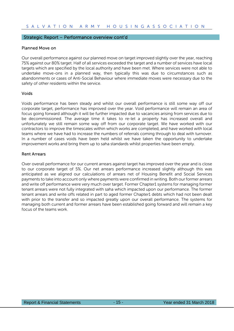#### Strategic Report – Performance overview cont'd

#### Planned Move on

Our overall performance against our planned move on target improved slightly over the year, reaching 75% against our 80% target. Half of all services exceeded the target and a number of services have local targets which are specified by the local authority and have been met. Where services were not able to undertake move-ons in a planned way, then typically this was due to circumstances such as abandonments or cases of Anti-Social Behaviour where immediate moves were necessary due to the safety of other residents within the service.

#### Voids

Voids performance has been steady and whilst our overall performance is still some way off our corporate target, performance has improved over the year. Void performance will remain an area of focus going forward although it will be further impacted due to vacancies arising from services due to be decommissioned. The average time it takes to re-let a property has increased overall and unfortunately we still remain some way off from our corporate target. We have worked with our contractors to improve the timescales within which works are completed, and have worked with local teams where we have had to increase the numbers of referrals coming through to deal with turnover. In a number of cases voids have been held whilst we have taken the opportunity to undertake improvement works and bring them up to saha standards whilst properties have been empty.

#### Rent Arrears

Over overall performance for our current arrears against target has improved over the year and is close to our corporate target of 5%. Our net arrears performance increased slightly although this was anticipated as we aligned our calculations of arrears net of Housing Benefit and Social Services payments to take into account only where payments were confirmed in writing. Both our former arrears and write off performance were very much over target. Former Chapter1 systems for managing former tenant arrears were not fully integrated with saha which impacted upon our performance. The former tenant arrears and write offs related in part to aged former Chapter1 debts which had not been dealt with prior to the transfer and so impacted greatly upon our overall performance. The systems for managing both current and former arrears have been established going forward and will remain a key focus of the teams work.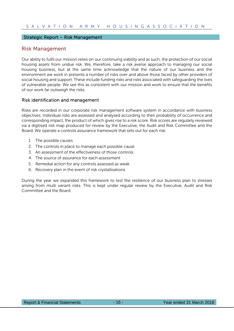#### Strategic Report – Risk Management

### Risk Management

Our ability to fulfil our mission relies on our continuing viability and as such, the protection of our social housing assets from undue risk. We, therefore, take a risk averse approach to managing our social housing business, but at the same time acknowledge that the nature of our business and the environment we work in presents a number of risks over and above those faced by other providers of social housing and support. These include funding risks and risks associated with safeguarding the lives of vulnerable people. We see this as consistent with our mission and work to ensure that the benefits of our work far outweigh the risks.

#### Risk identification and management

Risks are recorded in our corporate risk management software system in accordance with business objectives. Individual risks are assessed and analysed according to their probability of occurrence and corresponding impact, the product of which gives rise to a risk score. Risk scores are regularly reviewed via a digitised risk map produced for review by the Executive, the Audit and Risk Committee and the Board. We operate a controls assurance framework that sets out for each risk:

- 1. The possible causes
- 2. The controls in place to manage each possible cause
- 3. An assessment of the effectiveness of those controls
- 4. The source of assurance for each assessment
- 5. Remedial action for any controls assessed as weak
- 6. Recovery plan in the event of risk crystallisations

During the year we expanded this framework to test the resilience of our business plan to stresses arising from multi variant risks. This is kept under regular review by the Executive, Audit and Risk Committee and the Board.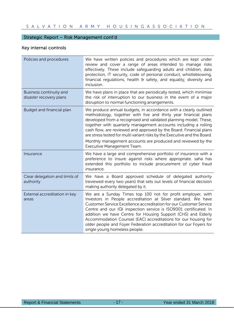### Strategic Report – Risk Management cont'd

## Key internal controls

| Policies and procedures                            | We have written policies and procedures which are kept under<br>review and cover a range of areas intended to manage risks<br>effectively. These include safeguarding adults and children, data<br>protection, IT security, code of personal conduct, whistleblowing,<br>financial regulations, health $\theta$ safety, and equality, diversity and<br>inclusion.                                                                                                                                                           |
|----------------------------------------------------|-----------------------------------------------------------------------------------------------------------------------------------------------------------------------------------------------------------------------------------------------------------------------------------------------------------------------------------------------------------------------------------------------------------------------------------------------------------------------------------------------------------------------------|
| Business continuity and<br>disaster recovery plans | We have plans in place that are periodically tested, which minimise<br>the risk of interruption to our business in the event of a major<br>disruption to normal functioning arrangements.                                                                                                                                                                                                                                                                                                                                   |
| Budget and financial plan                          | We produce annual budgets, in accordance with a clearly outlined<br>methodology, together with five and thirty year financial plans<br>developed from a recognised and validated planning model. These,<br>together with quarterly management accounts including a rolling<br>cash flow, are reviewed and approved by the Board. Financial plans<br>are stress tested for multi variant risks by the Executive and the Board.<br>Monthly management accounts are produced and reviewed by the<br>Executive Management Team. |
| Insurance                                          | We have a large and comprehensive portfolio of insurance with a<br>preference to insure against risks where appropriate. saha has<br>extended this portfolio to include procurement of cyber fraud<br>insurance.                                                                                                                                                                                                                                                                                                            |
| Clear delegation and limits of<br>authority        | We have a Board approved schedule of delegated authority<br>(reviewed every two years) that sets out levels of financial decision<br>making authority delegated by it.                                                                                                                                                                                                                                                                                                                                                      |
| External accreditation in key<br>areas             | We are a Sunday Times top 100 not for profit employer, with<br>Investors in People accreditation at Silver standard. We have<br>Customer Service Excellence accreditation for our Customer Service<br>Centre and our IQI inspection service is ISO9001 certificated. In<br>addition we have Centre for Housing Support (CHS) and Elderly<br>Accommodation Counsel (EAC) accreditations for our housing for<br>older people and Foyer Federation accreditation for our Foyers for<br>single young homeless people.           |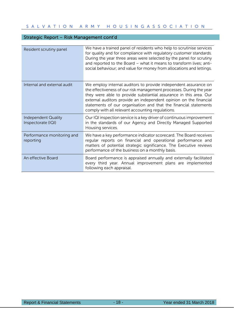### Strategic Report – Risk Management cont'd

| Resident scrutiny panel                          | We have a trained panel of residents who help to scrutinise services<br>for quality and for compliance with regulatory customer standards.<br>During the year three areas were selected by the panel for scrutiny<br>and reported to the Board - what it means to transform lives; anti-<br>social behaviour; and value for money from allocations and lettings.                                         |
|--------------------------------------------------|----------------------------------------------------------------------------------------------------------------------------------------------------------------------------------------------------------------------------------------------------------------------------------------------------------------------------------------------------------------------------------------------------------|
| Internal and external audit                      | We employ internal auditors to provide independent assurance on<br>the effectiveness of our risk management processes. During the year<br>they were able to provide substantial assurance in this area. Our<br>external auditors provide an independent opinion on the financial<br>statements of our organisation and that the financial statements<br>comply with all relevant accounting regulations. |
| <b>Independent Quality</b><br>Inspectorate (IQI) | Our IQI inspection service is a key driver of continuous improvement<br>in the standards of our Agency and Directly Managed Supported<br>Housing services.                                                                                                                                                                                                                                               |
| Performance monitoring and<br>reporting          | We have a key performance indicator scorecard. The Board receives<br>regular reports on financial and operational performance and<br>matters of potential strategic significance. The Executive reviews<br>performance of the business on a monthly basis.                                                                                                                                               |
| An effective Board                               | Board performance is appraised annually and externally facilitated<br>every third year. Annual improvement plans are implemented<br>following each appraisal.                                                                                                                                                                                                                                            |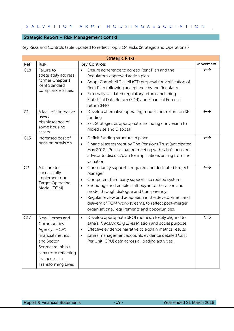## Strategic Report – Risk Management cont'd

Key Risks and Controls table updated to reflect Top 5 Q4 Risks (Strategic and Operational)

| <b>Strategic Risks</b> |                                                                                                                                                                               |                                                                                                                                                                                                                                                                                                                                                                                                         |                   |
|------------------------|-------------------------------------------------------------------------------------------------------------------------------------------------------------------------------|---------------------------------------------------------------------------------------------------------------------------------------------------------------------------------------------------------------------------------------------------------------------------------------------------------------------------------------------------------------------------------------------------------|-------------------|
| Ref                    | <b>Risk</b>                                                                                                                                                                   | <b>Key Controls</b>                                                                                                                                                                                                                                                                                                                                                                                     | Movement          |
| C18                    | Failure to<br>adequately address<br>former Chapter 1<br>Rent Standard<br>compliance issues,                                                                                   | Ensure adherence to agreed Rent Plan and the<br>$\bullet$<br>Regulator's approved action plan<br>Adopt Campbell Tickell (CT) proposal for verification of<br>$\bullet$<br>Rent Plan following acceptance by the Regulator.<br>Externally validated regulatory returns including<br>$\bullet$<br>Statistical Data Return (SDR) and Financial Forecast<br>return (FFR).                                   | $\leftrightarrow$ |
| C1                     | A lack of alternative<br>uses $/$<br>obsolescence of<br>some housing<br>assets                                                                                                | Develop alternative operating models not reliant on SP<br>$\bullet$<br>funding<br>Exit Strategies as appropriate, including conversion to<br>mixed use and Disposal.                                                                                                                                                                                                                                    | $\leftrightarrow$ |
| C13                    | Increased cost of<br>pension provision                                                                                                                                        | Deficit funding structure in place.<br>$\bullet$<br>Financial assessment by The Pensions Trust (anticipated:<br>٠<br>May 2018). Post-valuation meeting with saha's pension<br>advisor to discuss/plan for implications arising from the<br>valuation.                                                                                                                                                   | $\leftrightarrow$ |
| C <sub>2</sub>         | A failure to<br>successfully<br>implement our<br><b>Target Operating</b><br>Model (TOM)                                                                                       | Consultancy support if required and dedicated Project<br>$\bullet$<br>Manager<br>Competent third party support, accredited systems<br>Encourage and enable staff buy-in to the vision and<br>model through dialogue and transparency.<br>Regular review and adaptation in the development and<br>delivery of TOM work-streams, to reflect post-merger<br>organisational requirements and opportunities. | $\leftrightarrow$ |
| C17                    | New Homes and<br>Communities<br>Agency ('HCA')<br>financial metrics<br>and Sector<br>Scorecard inhibit<br>saha from reflecting<br>its success in<br><b>Transforming Lives</b> | Develop appropriate SROI metrics, closely aligned to<br>$\bullet$<br>saha's Transforming Lives Mission and social purpose.<br>Effective evidence narrative to explain metrics results<br>saha's management accounts evidence detailed Cost<br>Per Unit (CPU) data across all trading activities.                                                                                                        | $\leftrightarrow$ |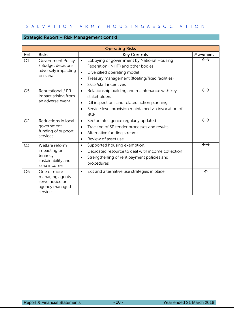### Strategic Report – Risk Management cont'd

| <b>Operating Risks</b> |                                                                                  |                                                                                                                                                                                                                               |                   |
|------------------------|----------------------------------------------------------------------------------|-------------------------------------------------------------------------------------------------------------------------------------------------------------------------------------------------------------------------------|-------------------|
| Ref                    | <b>Risks</b>                                                                     | <b>Key Controls</b>                                                                                                                                                                                                           | Movement          |
| O1                     | <b>Government Policy</b><br>/ Budget decisions<br>adversely impacting<br>on saha | Lobbying of government by National Housing<br>$\bullet$<br>Federation ('NHF') and other bodies<br>Diversified operating model<br>$\bullet$<br>Treasury management (floating/fixed facilities)<br>٠<br>Skills/staff incentives | $\leftrightarrow$ |
| O <sub>5</sub>         | Reputational / PR<br>impact arising from<br>an adverse event                     | Relationship building and maintenance with key<br>$\bullet$<br>stakeholders<br>IQI inspections and related action planning<br>$\bullet$<br>Service level provision maintained via invocation of<br>$\bullet$<br><b>BCP</b>    | $\leftrightarrow$ |
| O <sub>2</sub>         | Reductions in local<br>government<br>funding of support<br>services              | Sector intelligence regularly updated<br>$\bullet$<br>Tracking of SP tender processes and results<br>$\bullet$<br>Alternative funding streams<br>$\bullet$<br>Review of asset use<br>$\bullet$                                | $\leftrightarrow$ |
| O <sub>3</sub>         | Welfare reform<br>impacting on<br>tenancy<br>sustainability and<br>saha income   | Supported housing exemption.<br>٠<br>Dedicated resource to deal with income collection<br>Strengthening of rent payment policies and<br>٠<br>procedures                                                                       | $\leftrightarrow$ |
| O <sub>6</sub>         | One or more<br>managing agents<br>serve notice on<br>agency managed<br>services  | Exit and alternative use strategies in place.<br>$\bullet$                                                                                                                                                                    | 个                 |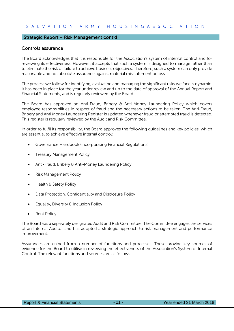#### Strategic Report – Risk Management cont'd

#### Controls assurance

The Board acknowledges that it is responsible for the Association's system of internal control and for reviewing its effectiveness. However, it accepts that such a system is designed to manage rather than to eliminate the risk of failure to achieve business objectives. Therefore, such a system can only provide reasonable and not absolute assurance against material misstatement or loss.

The process we follow for identifying, evaluating and managing the significant risks we face is dynamic. It has been in place for the year under review and up to the date of approval of the Annual Report and Financial Statements, and is regularly reviewed by the Board.

The Board has approved an Anti-Fraud, Bribery & Anti-Money Laundering Policy which covers employee responsibilities in respect of fraud and the necessary actions to be taken. The Anti-Fraud, Bribery and Anti Money Laundering Register is updated whenever fraud or attempted fraud is detected. This register is regularly reviewed by the Audit and Risk Committee.

In order to fulfil its responsibility, the Board approves the following guidelines and key policies, which are essential to achieve effective internal control:

- Governance Handbook (incorporating Financial Regulations)
- Treasury Management Policy
- Anti-Fraud, Bribery & Anti-Money Laundering Policy
- Risk Management Policy
- Health & Safety Policy
- Data Protection, Confidentiality and Disclosure Policy
- Equality, Diversity & Inclusion Policy
- Rent Policy

The Board has a separately designated Audit and Risk Committee. The Committee engages the services of an Internal Auditor and has adopted a strategic approach to risk management and performance improvement.

Assurances are gained from a number of functions and processes. These provide key sources of evidence for the Board to utilise in reviewing the effectiveness of the Association's System of Internal Control. The relevant functions and sources are as follows: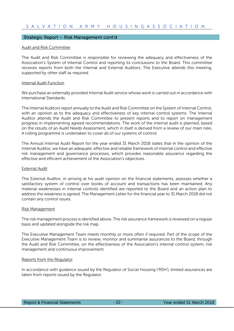#### Strategic Report – Risk Management cont'd

#### Audit and Risk Committee

The Audit and Risk Committee is responsible for reviewing the adequacy and effectiveness of the Association's System of Internal Control and reporting its conclusions to the Board. This committee receives reports from both the Internal and External Auditors. The Executive attends this meeting, supported by other staff as required.

#### Internal Audit Function

We purchase an externally provided Internal Audit service whose work is carried out in accordance with International Standards.

The Internal Auditors report annually to the Audit and Risk Committee on the System of Internal Control, with an opinion as to the adequacy and effectiveness of key internal control systems. The Internal Auditor attends the Audit and Risk Committee to present reports and to report on management progress in implementing agreed recommendations. The work of the internal audit is planned, based on the results of an Audit Needs Assessment, which in itself is derived from a review of our main risks. A rolling programme is undertaken to cover all of our systems of control.

The Annual Internal Audit Report for the year ended 31 March 2018 states that in the opinion of the Internal Auditor, we have an adequate, effective and reliable framework of internal control and effective risk management and governance processes, which provides reasonable assurance regarding the effective and efficient achievement of the Association's objectives.

#### External Audit

The External Auditor, in arriving at his audit opinion on the financial statements, assesses whether a satisfactory system of control over books of account and transactions has been maintained. Any material weaknesses in internal controls identified are reported to the Board and an action plan to address the weakness is agreed. The Management Letter for the financial year to 31 March 2018 did not contain any control issues.

#### Risk Management

The risk management process is identified above. The risk assurance framework is reviewed on a regular basis and updated alongside the risk map.

The Executive Management Team meets monthly or more often if required. Part of the scope of the Executive Management Team is to review, monitor and summarise assurances to the Board, through the Audit and Risk Committee, on the effectiveness of the Association's internal control system, risk management and continuous improvement.

#### Reports from the Regulator

In accordance with guidance issued by the Regulator of Social Housing ('RSH'), limited assurances are taken from reports issued by the Regulator.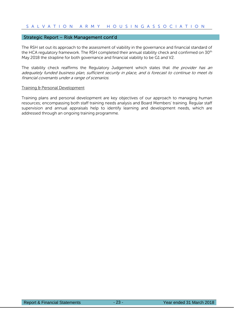#### Strategic Report – Risk Management cont'd

The RSH set out its approach to the assessment of viability in the governance and financial standard of the HCA regulatory framework. The RSH completed their annual stability check and confirmed on 30<sup>th</sup> May 2018 the strapline for both governance and financial viability to be G1 and V2.

The stability check reaffirms the Regulatory Judgement which states that the provider has an adequately funded business plan, sufficient security in place, and is forecast to continue to meet its financial covenants under a range of scenarios.

#### Training & Personal Development

Training plans and personal development are key objectives of our approach to managing human resources; encompassing both staff training needs analysis and Board Members' training. Regular staff supervision and annual appraisals help to identify learning and development needs, which are addressed through an ongoing training programme.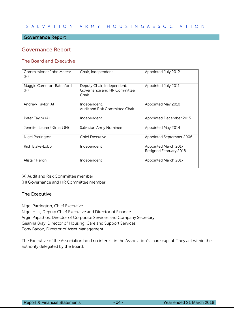#### Governance Report

### Governance Report

### The Board and Executive

| Commissioner John Matear<br>(H) | Chair, Independent                                                 | Appointed July 2012                            |  |
|---------------------------------|--------------------------------------------------------------------|------------------------------------------------|--|
| Maggie Cameron-Ratchford<br>(H) | Deputy Chair, Independent,<br>Governance and HR Committee<br>Chair | Appointed July 2011                            |  |
| Andrew Taylor (A)               | Independent,<br>Audit and Risk Committee Chair                     | Appointed May 2010                             |  |
| Peter Taylor (A)                | Independent                                                        | Appointed December 2015                        |  |
| Jennifer Laurent-Smart (H)      | Salvation Army Nominee                                             | Appointed May 2014                             |  |
| Nigel Parrington                | <b>Chief Executive</b>                                             | Appointed September 2006                       |  |
| Rich Blake-Lobb                 | Independent                                                        | Appointed March 2017<br>Resigned February 2018 |  |
| Alistair Heron                  | Independent                                                        | Appointed March 2017                           |  |

(A) Audit and Risk Committee member

(H) Governance and HR Committee member

#### The Executive

Nigel Parrington, Chief Executive

Nigel Hills, Deputy Chief Executive and Director of Finance Argiri Papathos, Director of Corporate Services and Company Secretary Geanna Bray, Director of Housing, Care and Support Services Tony Bacon, Director of Asset Management

The Executive of the Association hold no interest in the Association's share capital. They act within the authority delegated by the Board.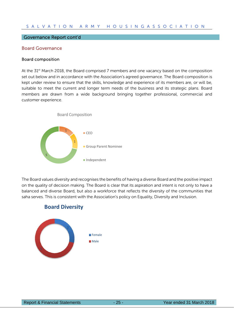#### Governance Report cont'd

#### Board Governance

#### Board composition

At the 31<sup>st</sup> March 2018, the Board comprised 7 members and one vacancy based on the composition set out below and in accordance with the Association's agreed governance. The Board composition is kept under review to ensure that the skills, knowledge and experience of its members are, or will be, suitable to meet the current and longer term needs of the business and its strategic plans. Board members are drawn from a wide background bringing together professional, commercial and customer experience.



The Board values diversity and recognises the benefits of having a diverse Board and the positive impact on the quality of decision making. The Board is clear that its aspiration and intent is not only to have a balanced and diverse Board, but also a workforce that reflects the diversity of the communities that saha serves. This is consistent with the Association's policy on Equality, Diversity and Inclusion.

#### **Board Diversity**

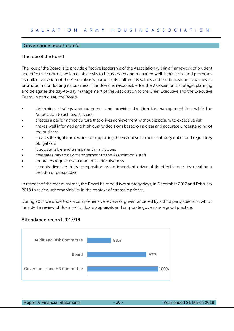#### Governance report cont'd

#### The role of the Board

The role of the Board is to provide effective leadership of the Association within a framework of prudent and effective controls which enable risks to be assessed and managed well. It develops and promotes its collective vision of the Association's purpose, its culture, its values and the behaviours it wishes to promote in conducting its business. The Board is responsible for the Association's strategic planning and delegates the day-to-day management of the Association to the Chief Executive and the Executive Team. In particular, the Board:

- determines strategy and outcomes and provides direction for management to enable the Association to achieve its vision
- creates a performance culture that drives achievement without exposure to excessive risk
- makes well informed and high quality decisions based on a clear and accurate understanding of the business
- creates the right framework for supporting the Executive to meet statutory duties and regulatory obligations
- is accountable and transparent in all it does
- delegates day to day management to the Association's staff
- embraces regular evaluation of its effectiveness
- accepts diversity in its composition as an important driver of its effectiveness by creating a breadth of perspective

In respect of the recent merger, the Board have held two strategy days, in December 2017 and February 2018 to review scheme viability in the context of strategic priority.

During 2017 we undertook a comprehensive review of governance led by a third party specialist which included a review of Board skills, Board appraisals and corporate governance good practice.

#### Attendance record 2017/18



|  |  | <b>Report &amp; Financial Statements</b> |
|--|--|------------------------------------------|
|--|--|------------------------------------------|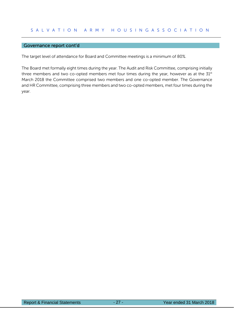#### Governance report cont'd

The target level of attendance for Board and Committee meetings is a minimum of 80%.

The Board met formally eight times during the year. The Audit and Risk Committee, comprising initially three members and two co-opted members met four times during the year, however as at the 31st March 2018 the Committee comprised two members and one co-opted member. The Governance and HR Committee, comprising three members and two co-opted members, met four times during the year.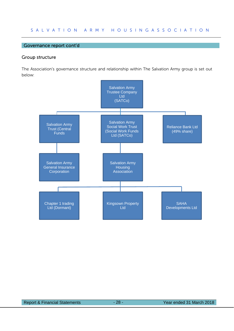#### Governance report cont'd

#### Group structure

The Association's governance structure and relationship within The Salvation Army group is set out below:

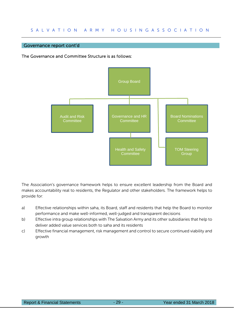#### Governance report cont'd

The Governance and Committee Structure is as follows:



The Association's governance framework helps to ensure excellent leadership from the Board and makes accountability real to residents, the Regulator and other stakeholders. The framework helps to provide for:

- a) Effective relationships within saha, its Board, staff and residents that help the Board to monitor performance and make well-informed, well-judged and transparent decisions
- b) Effective intra group relationships with The Salvation Army and its other subsidiaries that help to deliver added value services both to saha and its residents
- c) Effective financial management, risk management and control to secure continued viability and growth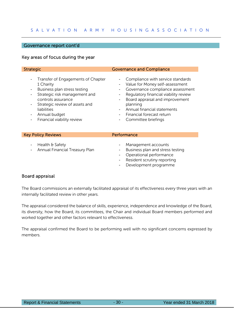#### Governance report cont'd

#### Key areas of focus during the year

- Transfer of Engagements of Chapter 1 Charity
- Business plan stress testing
- Strategic risk management and controls assurance
- Strategic review of assets and liabilities
- Annual budget
- Financial viability review

#### **Strategic Governance and Compliance**

- Compliance with service standards
- Value for Money self-assessment
- Governance compliance assessment
- Regulatory financial viability review
- Board appraisal and improvement planning
- Annual financial statements
- Financial forecast return
- Committee briefings

#### Key Policy Reviews **Performance**

- Health & Safety
- Annual Financial Treasury Plan
- Management accounts
- Business plan and stress testing
- Operational performance
- Resident scrutiny reporting
- Development programme

#### Board appraisal

The Board commissions an externally facilitated appraisal of its effectiveness every three years with an internally facilitated review in other years.

The appraisal considered the balance of skills, experience, independence and knowledge of the Board, its diversity, how the Board, its committees, the Chair and individual Board members performed and worked together and other factors relevant to effectiveness.

The appraisal confirmed the Board to be performing well with no significant concerns expressed by members.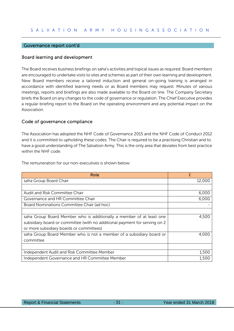#### Governance report cont'd

#### Board learning and development

The Board receives business briefings on saha's activities and topical issues as required. Board members are encouraged to undertake visits to sites and schemes as part of their own learning and development. New Board members receive a tailored induction and general on-going training is arranged in accordance with identified learning needs or as Board members may request. Minutes of various meetings, reports and briefings are also made available to the Board on line. The Company Secretary briefs the Board on any changes to the code of governance or regulation. The Chief Executive provides a regular briefing report to the Board on the operating environment and any potential impact on the Association.

#### Code of governance compliance

The Association has adopted the NHF Code of Governance 2015 and the NHF Code of Conduct 2012 and it is committed to upholding these codes. The Chair is required to be a practising Christian and to have a good understanding of The Salvation Army. This is the only area that deviates from best practice within the NHF code.

| Role                                                                       | £      |
|----------------------------------------------------------------------------|--------|
| saha Group Board Chair                                                     | 12,000 |
|                                                                            |        |
| Audit and Risk Committee Chair                                             | 6,000  |
| Governance and HR Committee Chair                                          | 6,000  |
| Board Nominations Committee Chair (ad hoc)                                 |        |
|                                                                            |        |
| saha Group Board Member who is additionally a member of at least one       | 4,500  |
| subsidiary board or committee (with no additional payment for serving on 2 |        |
| or more subsidiary boards or committees)                                   |        |
| saha Group Board Member who is not a member of a subsidiary board or       | 4.000  |
| committee                                                                  |        |
|                                                                            |        |
| Independent Audit and Risk Committee Member                                | 1,500  |
| Independent Governance and HR Committee Member                             | 1,500  |

The remuneration for our non-executives is shown below: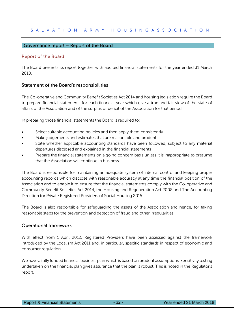#### Governance report – Report of the Board

#### Report of the Board

The Board presents its report together with audited financial statements for the year ended 31 March 2018.

#### Statement of the Board's responsibilities

The Co-operative and Community Benefit Societies Act 2014 and housing legislation require the Board to prepare financial statements for each financial year which give a true and fair view of the state of affairs of the Association and of the surplus or deficit of the Association for that period.

In preparing those financial statements the Board is required to:

- Select suitable accounting policies and then apply them consistently
- Make judgements and estimates that are reasonable and prudent
- State whether applicable accounting standards have been followed, subject to any material departures disclosed and explained in the financial statements
- Prepare the financial statements on a going concern basis unless it is inappropriate to presume that the Association will continue in business

The Board is responsible for maintaining an adequate system of internal control and keeping proper accounting records which disclose with reasonable accuracy at any time the financial position of the Association and to enable it to ensure that the financial statements comply with the Co-operative and Community Benefit Societies Act 2014, the Housing and Regeneration Act 2008 and The Accounting Direction for Private Registered Providers of Social Housing 2015.

The Board is also responsible for safeguarding the assets of the Association and hence, for taking reasonable steps for the prevention and detection of fraud and other irregularities.

#### Operational framework

With effect from 1 April 2012, Registered Providers have been assessed against the framework introduced by the Localism Act 2011 and, in particular, specific standards in respect of economic and consumer regulation.

We have a fully funded financial business plan which is based on prudent assumptions. Sensitivity testing undertaken on the financial plan gives assurance that the plan is robust. This is noted in the Regulator's report.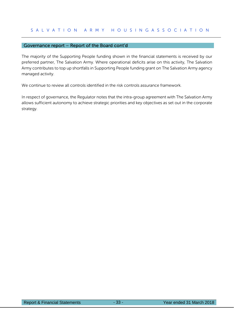#### Governance report – Report of the Board cont'd

The majority of the Supporting People funding shown in the financial statements is received by our preferred partner, The Salvation Army. Where operational deficits arise on this activity, The Salvation Army contributes to top up shortfalls in Supporting People funding grant on The Salvation Army agency managed activity.

We continue to review all controls identified in the risk controls assurance framework.

In respect of governance, the Regulator notes that the intra-group agreement with The Salvation Army allows sufficient autonomy to achieve strategic priorities and key objectives as set out in the corporate strategy.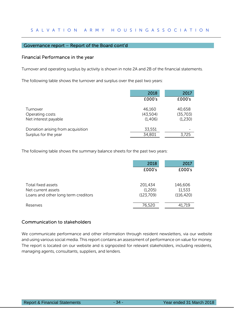#### Governance report – Report of the Board cont'd

#### Financial Performance in the year

Turnover and operating surplus by activity is shown in note 2A and 2B of the financial statements.

The following table shows the turnover and surplus over the past two years:

|                                                           | 2018                          | 2017                          |
|-----------------------------------------------------------|-------------------------------|-------------------------------|
|                                                           | £000's                        | £000's                        |
| Turnover<br>Operating costs<br>Net interest payable       | 46,160<br>(43,504)<br>(1,406) | 40,658<br>(35,703)<br>(1,230) |
| Donation arising from acquisition<br>Surplus for the year | 33,551<br>34,801              | 3,725                         |

The following table shows the summary balance sheets for the past two years:

|                                     | 2018      | 2017       |
|-------------------------------------|-----------|------------|
|                                     | £000's    | £000's     |
|                                     |           |            |
| Total fixed assets                  | 201,434   | 146,606    |
| Net current assets                  | (1,205)   | 11,533     |
| Loans and other long term creditors | (123,709) | (116, 420) |
|                                     |           |            |
| Reserves                            | 76,520    | 41,719     |

#### Communication to stakeholders

We communicate performance and other information through resident newsletters, via our website and using various social media. This report contains an assessment of performance on value for money. The report is located on our website and is signposted for relevant stakeholders, including residents, managing agents, consultants, suppliers, and lenders.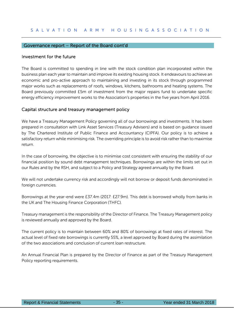#### Governance report – Report of the Board cont'd

#### Investment for the future

The Board is committed to spending in line with the stock condition plan incorporated within the business plan each year to maintain and improve its existing housing stock. It endeavours to achieve an economic and pro-active approach to maintaining and investing in its stock through programmed major works such as replacements of roofs, windows, kitchens, bathrooms and heating systems. The Board previously committed £5m of investment from the major repairs fund to undertake specific energy efficiency improvement works to the Association's properties in the five years from April 2016.

#### Capital structure and treasury management policy

We have a Treasury Management Policy governing all of our borrowings and investments. It has been prepared in consultation with Link Asset Services (Treasury Advisers) and is based on guidance issued by The Chartered Institute of Public Finance and Accountancy (CIPFA). Our policy is to achieve a satisfactory return while minimising risk. The overriding principle is to avoid risk rather than to maximise return.

In the case of borrowing, the objective is to minimise cost consistent with ensuring the stability of our financial position by sound debt management techniques. Borrowings are within the limits set out in our Rules and by the RSH, and subject to a Policy and Strategy agreed annually by the Board.

We will not undertake currency risk and accordingly will not borrow or deposit funds denominated in foreign currencies.

Borrowings at the year-end were £37.4m (2017: £27.9m). This debt is borrowed wholly from banks in the UK and The Housing Finance Corporation (THFC).

Treasury management is the responsibility of the Director of Finance. The Treasury Management policy is reviewed annually and approved by the Board.

The current policy is to maintain between 60% and 80% of borrowings at fixed rates of interest. The actual level of fixed rate borrowings is currently 55%, a level approved by Board during the assimilation of the two associations and conclusion of current loan restructure.

An Annual Financial Plan is prepared by the Director of Finance as part of the Treasury Management Policy reporting requirements.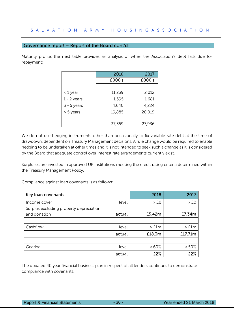#### Governance report – Report of the Board cont'd

Maturity profile: the next table provides an analysis of when the Association's debt falls due for repayment:

|               | 2018   | 2017   |
|---------------|--------|--------|
|               | £000's | £000's |
|               |        |        |
| < 1 year      | 11,239 | 2,012  |
| $1 - 2$ years | 1,595  | 1,681  |
| $3 - 5$ years | 4,640  | 4,224  |
| > 5 years     | 19,885 | 20,019 |
|               |        |        |
|               | 37,359 | 27,936 |

We do not use hedging instruments other than occasionally to fix variable rate debt at the time of drawdown, dependent on Treasury Management decisions. A rule change would be required to enable hedging to be undertaken at other times and it is not intended to seek such a change as it is considered by the Board that adequate control over interest rate arrangements currently exist.

Surpluses are invested in approved UK institutions meeting the credit rating criteria determined within the Treasury Management Policy.

Compliance against loan covenants is as follows:

| Key loan covenants                      |        | 2018             | 2017             |
|-----------------------------------------|--------|------------------|------------------|
| Income cover                            | level  | > E <sub>0</sub> | > E <sub>0</sub> |
| Surplus excluding property depreciation |        |                  |                  |
| and donation                            | actual | £5.42m           | £7.34m           |
|                                         |        |                  |                  |
| Cashflow                                | level  | $>$ £1 $m$       | > <i>£1m</i>     |
|                                         | actual | £18.3m           | £17.71m          |
|                                         |        |                  |                  |
| Gearing                                 | level  | <60%             | $< 50\%$         |
|                                         | actual | 22%              | 22%              |

The updated 40 year financial business plan in respect of all lenders continues to demonstrate compliance with covenants.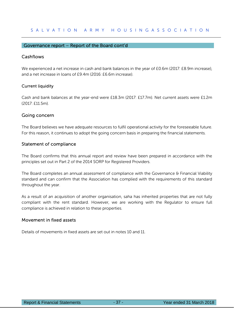# Governance report – Report of the Board cont'd

# **Cashflows**

We experienced a net increase in cash and bank balances in the year of £0.6m (2017: £8.9m increase), and a net increase in loans of £9.4m (2016: £6.6m increase).

# Current liquidity

Cash and bank balances at the year-end were £18.3m (2017: £17.7m). Net current assets were £1.2m (2017: £11.5m).

# Going concern

The Board believes we have adequate resources to fulfil operational activity for the foreseeable future. For this reason, it continues to adopt the going concern basis in preparing the financial statements.

# Statement of compliance

The Board confirms that this annual report and review have been prepared in accordance with the principles set out in Part 2 of the 2014 SORP for Registered Providers.

The Board completes an annual assessment of compliance with the Governance & Financial Viability standard and can confirm that the Association has complied with the requirements of this standard throughout the year.

As a result of an acquisition of another organisation, saha has inherited properties that are not fully compliant with the rent standard. However, we are working with the Regulator to ensure full compliance is achieved in relation to these properties.

# Movement in fixed assets

Details of movements in fixed assets are set out in notes 10 and 11.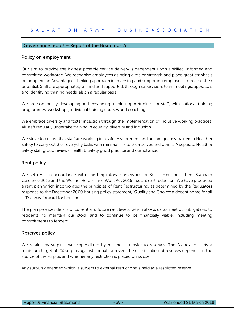# Governance report – Report of the Board cont'd

# Policy on employment

Our aim to provide the highest possible service delivery is dependent upon a skilled, informed and committed workforce. We recognise employees as being a major strength and place great emphasis on adopting an Advantaged Thinking approach in coaching and supporting employees to realise their potential. Staff are appropriately trained and supported, through supervision, team meetings, appraisals and identifying training needs, all on a regular basis.

We are continually developing and expanding training opportunities for staff, with national training programmes, workshops, individual training courses and coaching.

We embrace diversity and foster inclusion through the implementation of inclusive working practices. All staff regularly undertake training in equality, diversity and inclusion.

We strive to ensure that staff are working in a safe environment and are adequately trained in Health & Safety to carry out their everyday tasks with minimal risk to themselves and others. A separate Health & Safety staff group reviews Health & Safety good practice and compliance.

# Rent policy

We set rents in accordance with The Regulatory Framework for Social Housing - Rent Standard Guidance 2015 and the Welfare Reform and Work Act 2016 - social rent reduction. We have produced a rent plan which incorporates the principles of Rent Restructuring, as determined by the Regulators response to the December 2000 housing policy statement, 'Quality and Choice: a decent home for all – The way forward for housing'.

The plan provides details of current and future rent levels, which allows us to meet our obligations to residents, to maintain our stock and to continue to be financially viable, including meeting commitments to lenders.

# Reserves policy

We retain any surplus over expenditure by making a transfer to reserves. The Association sets a minimum target of 2% surplus against annual turnover. The classification of reserves depends on the source of the surplus and whether any restriction is placed on its use.

Any surplus generated which is subject to external restrictions is held as a restricted reserve.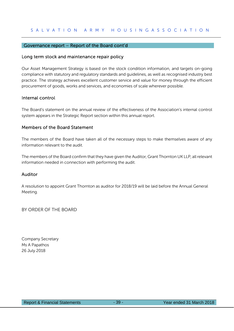# Governance report – Report of the Board cont'd

# Long term stock and maintenance repair policy

Our Asset Management Strategy is based on the stock condition information, and targets on-going compliance with statutory and regulatory standards and guidelines, as well as recognised industry best practice. The strategy achieves excellent customer service and value for money through the efficient procurement of goods, works and services, and economies of scale wherever possible.

# Internal control

The Board's statement on the annual review of the effectiveness of the Association's internal control system appears in the Strategic Report section within this annual report.

# Members of the Board Statement

The members of the Board have taken all of the necessary steps to make themselves aware of any information relevant to the audit.

The members of the Board confirm that they have given the Auditor, Grant Thornton UK LLP, all relevant information needed in connection with performing the audit.

# Auditor

A resolution to appoint Grant Thornton as auditor for 2018/19 will be laid before the Annual General Meeting.

BY ORDER OF THE BOARD

Company Secretary Ms A Papathos 26 July 2018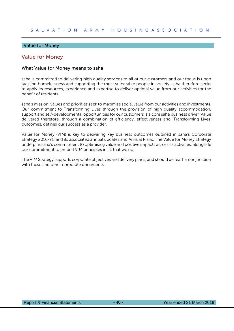# Value for Money

# Value for Money

# What Value for Money means to saha

saha is committed to delivering high quality services to all of our customers and our focus is upon tackling homelessness and supporting the most vulnerable people in society. saha therefore seeks to apply its resources, experience and expertise to deliver optimal value from our activities for the benefit of residents.

saha's mission, values and priorities seek to maximise social value from our activities and investments. Our commitment to Transforming Lives through the provision of high quality accommodation, support and self-developmental opportunities for our customers is a core saha business driver. Value delivered therefore, through a combination of efficiency, effectiveness and 'Transforming Lives' outcomes, defines our success as a provider.

Value for Money (VfM) is key to delivering key business outcomes outlined in saha's Corporate Strategy 2016-21, and its associated annual updates and Annual Plans. The Value for Money Strategy underpins saha's commitment to optimising value and positive impacts across its activities, alongside our commitment to embed VfM principles in all that we do.

The VfM Strategy supports corporate objectives and delivery plans, and should be read in conjunction with these and other corporate documents.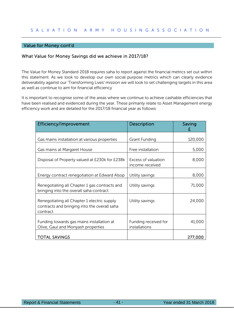# Value for Money cont'd

# What Value for Money Savings did we achieve in 2017/18?

The Value for Money Standard 2018 requires saha to report against the financial metrics set out within this statement. As we look to develop our own social purpose metrics which can clearly evidence deliverability against our 'Transforming Lives' mission we will look to set challenging targets in this area as well as continue to aim for financial efficiency

It is important to recognise some of the areas where we continue to achieve cashable efficiencies that have been realised and evidenced during the year. These primarily relate to Asset Management energy efficiency work and are detailed for the 2017/18 financial year as follows:

| <b>Efficiency/Improvement</b>                                                                           | Description                            | Saving  |
|---------------------------------------------------------------------------------------------------------|----------------------------------------|---------|
| Gas mains installation at various properties                                                            | Grant Funding                          | 120,000 |
| Gas mains at Margaret House                                                                             | Free installation                      | 5,000   |
| Disposal of Property valued at £230k for £238k                                                          | Excess of valuation<br>income received | 8,000   |
| Energy contract renegotiation at Edward Alsop                                                           | Utility savings                        | 8,000   |
| Renegotiating all Chapter 1 gas contracts and<br>bringing into the overall saha contract                | Utility savings                        | 71,000  |
| Renegotiating all Chapter 1 electric supply<br>contracts and bringing into the overall saha<br>contract | Utility savings                        | 24,000  |
| Funding towards gas mains installation at<br>Olive, Gaul and Monyash properties                         | Funding received for<br>installations  | 41,000  |
| <b>TOTAL SAVINGS</b>                                                                                    |                                        | 277,000 |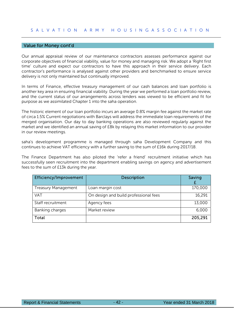# Value for Money cont'd

Our annual appraisal review of our maintenance contractors assesses performance against our corporate objectives of financial viability, value for money and managing risk. We adopt a 'Right first time' culture and expect our contractors to have this approach in their service delivery. Each contractor's performance is analysed against other providers and benchmarked to ensure service delivery is not only maintained but continually improved.

In terms of Finance, effective treasury management of our cash balances and loan portfolio is another key area in ensuring financial viability. During the year we performed a loan portfolio review, and the current status of our arrangements across lenders was viewed to be efficient and fit for purpose as we assimilated Chapter 1 into the saha operation.

The historic element of our loan portfolio incurs an average 0.8% margin fee against the market rate of circa 1.5% Current negotiations with Barclays will address the immediate loan requirements of the merged organisation. Our day to day banking operations are also reviewed regularly against the market and we identified an annual saving of £8k by relaying this market information to our provider in our review meetings.

saha's development programme is managed through saha Development Company and this continues to achieve VAT efficiency with a further saving to the sum of £16k during 2017/18.

The Finance Department has also piloted the 'refer a friend' recruitment initiative which has successfully seen recruitment into the department enabling savings on agency and advertisement fees to the sum of £13k during the year.

| Efficiency/Improvement     | <b>Description</b>                    | Saving  |
|----------------------------|---------------------------------------|---------|
| <b>Treasury Management</b> | Loan margin cost                      | 170,000 |
| <b>VAT</b>                 | On design and build professional fees | 16,291  |
| Staff recruitment          | Agency fees                           | 13,000  |
| Banking charges            | Market review                         | 6,000   |
| Total                      |                                       | 205,291 |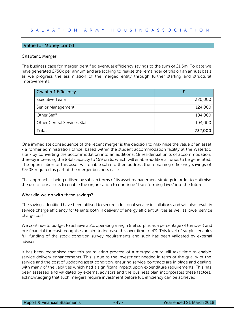# Value for Money cont'd

# Chapter 1 Merger

The business case for merger identified eventual efficiency savings to the sum of £1.5m. To date we have generated £750k per annum and are looking to realise the remainder of this on an annual basis as we progress the assimilation of the merged entity through further staffing and structural improvements.

| <b>Chapter 1 Efficiency</b>         |         |
|-------------------------------------|---------|
| <b>Executive Team</b>               | 320,000 |
| Senior Management                   | 124,000 |
| Other Staff                         | 184,000 |
| <b>Other Central Services Staff</b> | 104,000 |
| Total                               | 732,000 |

One immediate consequence of the recent merger is the decision to maximise the value of an asset - a former administration office, based within the student accommodation facility at the Waterloo site - by converting the accommodation into an additional 18 residential units of accommodation, thereby increasing the total capacity to 159 units, which will enable additional funds to be generated. The optimisation of this asset will enable saha to then address the remaining efficiency savings of £750K required as part of the merger business case.

This approach is being utilised by saha in terms of its asset management strategy in order to optimise the use of our assets to enable the organisation to continue 'Transforming Lives' into the future.

## What did we do with these savings?

The savings identified have been utilised to secure additional service installations and will also result in service charge efficiency for tenants both in delivery of energy efficient utilities as well as lower service charge costs.

We continue to budget to achieve a 2% operating margin (net surplus as a percentage of turnover) and our financial forecast recognises an aim to increase this over time to 4%. This level of surplus enables full funding of the stock condition survey requirements and such has been validated by external advisers.

It has been recognised that this assimilation process of a merged entity will take time to enable service delivery enhancements. This is due to the investment needed in term of the quality of the service and the cost of updating asset condition, ensuring service contracts are in place and dealing with many of the liabilities which had a significant impact upon expenditure requirements. This has been assessed and validated by external advisors and the business plan incorporates these factors, acknowledging that such mergers require investment before full efficiency can be achieved.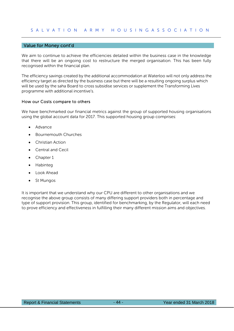# Value for Money cont'd

We aim to continue to achieve the efficiencies detailed within the business case in the knowledge that there will be an ongoing cost to restructure the merged organisation. This has been fully recognised within the financial plan.

The efficiency savings created by the additional accommodation at Waterloo will not only address the efficiency target as directed by the business case but there will be a resulting ongoing surplus which will be used by the saha Board to cross subsidise services or supplement the Transforming Lives programme with additional incentive's.

#### How our Costs compare to others

We have benchmarked our financial metrics against the group of supported housing organisations using the global account data for 2017. This supported housing group comprises:

- Advance
- Bournemouth Churches
- Christian Action
- Central and Cecil
- Chapter 1
- Habinteg
- Look Ahead
- St Mungos

It is important that we understand why our CPU are different to other organisations and we recognise the above group consists of many differing support providers both in percentage and type of support provision. This group, identified for benchmarking, by the Regulator, will each need to prove efficiency and effectiveness in fulfilling their many different mission aims and objectives.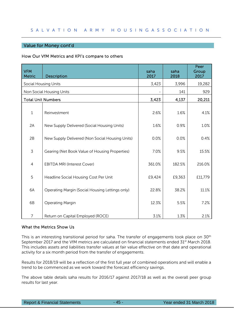# Value for Money cont'd

## How Our VfM Metrics and KPI's compare to others

| <b>VFM</b><br><b>Metric</b> | Description                                     | saha<br>2017 | saha<br>2018 | Peer<br>Group<br>2017 |
|-----------------------------|-------------------------------------------------|--------------|--------------|-----------------------|
|                             | <b>Social Housing Units</b>                     | 3,423        | 3,996        | 19,282                |
|                             | Non Social Housing Units                        |              | 141          | 929                   |
|                             | <b>Total Unit Numbers</b>                       | 3,423        | 4,137        | 20,211                |
| $\mathbf 1$                 | Reinvestment                                    | 2.6%         | 1.6%         | 4.1%                  |
| 2A                          | New Supply Delivered (Social Housing Units)     | 1.6%         | 0.9%         | 1.0%                  |
| 2B                          | New Supply Delivered (Non Social Housing Units) | 0.0%         | 0.0%         | 0.4%                  |
| 3                           | Gearing (Net Book Value of Housing Properties)  | 7.0%         | 9.5%         | 15.5%                 |
| $\overline{4}$              | <b>EBITDA MRI (Interest Cover)</b>              | 361.0%       | 182.5%       | 216.0%                |
| 5                           | Headline Social Housing Cost Per Unit           | £9,424       | £9,363       | £11,779               |
| 6A                          | Operating Margin (Social Housing Lettings only) | 22.8%        | 38.2%        | 11.1%                 |
| 6B                          | <b>Operating Margin</b>                         | 12.3%        | 5.5%         | 7.2%                  |
| 7                           | Return on Capital Employed (ROCE)               | 3.1%         | 1.3%         | 2.1%                  |

# What the Metrics Show Us

This is an interesting transitional period for saha. The transfer of engagements took place on 30<sup>th</sup> September 2017 and the VfM metrics are calculated on financial statements ended 31<sup>st</sup> March 2018. This includes assets and liabilities transfer values at fair value effective on that date and operational activity for a six month period from the transfer of engagements.

Results for 2018/19 will be a reflection of the first full year of combined operations and will enable a trend to be commenced as we work toward the forecast efficiency savings.

The above table details saha results for 2016/17 against 2017/18 as well as the overall peer group results for last year.

Report & Financial Statements 45 - 45 - Year ended 31 March 2018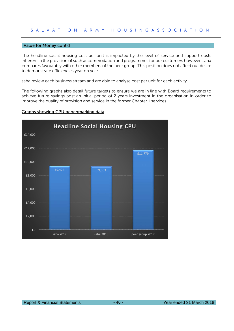#### Value for Money cont'd

The headline social housing cost per unit is impacted by the level of service and support costs inherent in the provision of such accommodation and programmes for our customers however, saha compares favourably with other members of the peer group. This position does not affect our desire to demonstrate efficiencies year on year.

saha review each business stream and are able to analyse cost per unit for each activity.

The following graphs also detail future targets to ensure we are in line with Board requirements to achieve future savings post an initial period of 2 years investment in the organisation in order to improve the quality of provision and service in the former Chapter 1 services



# Graphs showing CPU benchmarking data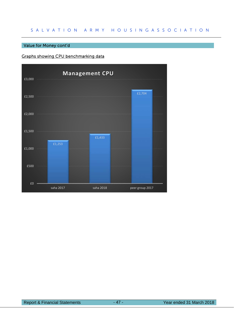# Value for Money cont'd

# Graphs showing CPU benchmarking data

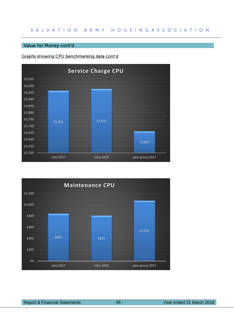# Value for Money cont'd

# Graphs showing CPU benchmarking data cont'd



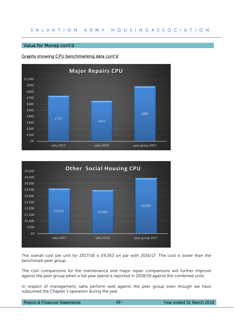# Value for Money cont'd

# Graphs showing CPU benchmarking data cont'd





The overall cost per unit for 2017/18 is £9,363 on par with 2016/17. The cost is lower than the benchmark peer group.

The cost comparisons for the maintenance and major repair comparisons will further improve against the peer group when a full year spend is reported in 2018/19 against the combined units.

In respect of management, saha perform well against the peer group even though we have subsumed the Chapter 1 operation during the year.

|  | <b>Report &amp; Financial Statements</b> |
|--|------------------------------------------|
|  |                                          |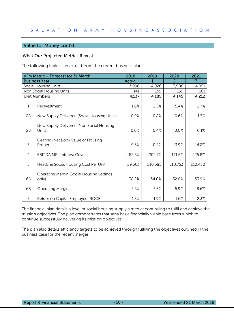# Value for Money cont'd

# What Our Projected Metrics Reveal

The following table is an extract from the current business plan

|    | VFM Metric - Forecast for 31 March                        | 2018          | 2019    | 2020           | 2021           |
|----|-----------------------------------------------------------|---------------|---------|----------------|----------------|
|    | <b>Business Year</b>                                      | <b>Actual</b> | 1       | $\overline{2}$ | $\overline{3}$ |
|    | <b>Social Housing Units</b>                               | 3,996         | 4,026   | 3,986          | 4,051          |
|    | Non Social Housing Units                                  | 141           | 159     | 159            | 161            |
|    | <b>Unit Numbers</b>                                       | 4,137         | 4,185   | 4,145          | 4,212          |
| 1  | Reinvestment                                              | 1.6%          | 2.5%    | 5.4%           | 2.7%           |
| 2A | New Supply Delivered (Social Housing Units)               | 0.9%          | 0.8%    | 0.6%           | 1.7%           |
| 2B | New Supply Delivered (Non Social Housing<br>Units)        | 0.0%          | 0.4%    | 0.0%           | 0.1%           |
| 3  | Gearing (Net Book Value of Housing<br>Properties)         | 9.5%          | 10.2%   | 13.9%          | 14.2%          |
| 4  | <b>EBITDA MRI (Interest Cover</b>                         | 182.5%        | 202.7%  | 171.5%         | 225.8%         |
| 5  | Headline Social Housing Cost Per Unit                     | £9,363        | £10,585 | £10,753        | £10,430        |
| 6A | <b>Operating Margin (Social Housing Lettings</b><br>only) | 38.2%         | 34.0%   | 32.8%          | 33.9%          |
| 6B | Operating Margin                                          | 5.5%          | 7.3%    | 5.9%           | 8.6%           |
| 7  | Return on Capital Employed (ROCE)                         | 1.3%          | 1.9%    | 1.6%           | 2.3%           |

The financial plan details a level of social housing supply aimed at continuing to fulfil and achieve the mission objectives. The plan demonstrates that saha has a financially viable base from which to continue successfully delivering its mission objectives.

The plan also details efficiency targets to be achieved through fulfilling the objectives outlined in the business case for the recent merger.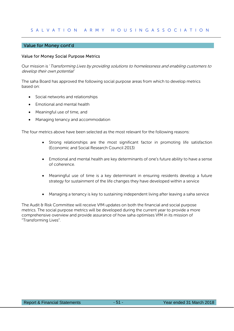# Value for Money cont'd

# Value for Money Social Purpose Metrics

Our mission is 'Transforming Lives by providing solutions to homelessness and enabling customers to develop their own potential'

The saha Board has approved the following social purpose areas from which to develop metrics based on:

- Social networks and relationships
- Emotional and mental health
- Meaningful use of time, and
- Managing tenancy and accommodation

The four metrics above have been selected as the most relevant for the following reasons:

- Strong relationships are the most significant factor in promoting life satisfaction (Economic and Social Research Council 2013)
- Emotional and mental health are key determinants of one's future ability to have a sense of coherence.
- Meaningful use of time is a key determinant in ensuring residents develop a future strategy for sustainment of the life changes they have developed within a service
- Managing a tenancy is key to sustaining independent living after leaving a saha service

The Audit & Risk Committee will receive VfM updates on both the financial and social purpose metrics. The social purpose metrics will be developed during the current year to provide a more comprehensive overview and provide assurance of how saha optimises VfM in its mission of "Transforming Lives".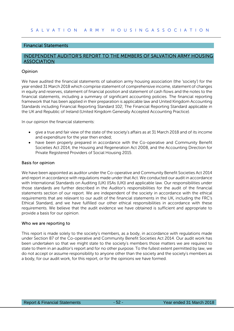# Financial Statements

# INDEPENDENT AUDITOR'S REPORT TO THE MEMBERS OF SALVATION ARMY HOUSING **ASSOCIATION**

# Opinion

We have audited the financial statements of salvation army housing association (the 'society') for the year ended 31 March 2018 which comprise statement of comprehensive income, statement of changes in equity and reserves, statement of financial position and statement of cash flows and the notes to the financial statements, including a summary of significant accounting policies. The financial reporting framework that has been applied in their preparation is applicable law and United Kingdom Accounting Standards including Financial Reporting Standard 102; The Financial Reporting Standard applicable in the UK and Republic of Ireland (United Kingdom Generally Accepted Accounting Practice).

In our opinion the financial statements:

- give a true and fair view of the state of the society's affairs as at 31 March 2018 and of its income and expenditure for the year then ended;
- have been properly prepared in accordance with the Co-operative and Community Benefit Societies Act 2014, the Housing and Regeneration Act 2008, and the Accounting Direction for Private Registered Providers of Social Housing 2015.

## Basis for opinion

We have been appointed as auditor under the Co-operative and Community Benefit Societies Act 2014 and report in accordance with regulations made under that Act. We conducted our audit in accordance with International Standards on Auditing (UK) (ISAs (UK)) and applicable law. Our responsibilities under those standards are further described in the Auditor's responsibilities for the audit of the financial statements section of our report. We are independent of the society in accordance with the ethical requirements that are relevant to our audit of the financial statements in the UK, including the FRC's Ethical Standard, and we have fulfilled our other ethical responsibilities in accordance with these requirements. We believe that the audit evidence we have obtained is sufficient and appropriate to provide a basis for our opinion.

## Who we are reporting to

This report is made solely to the society's members, as a body, in accordance with regulations made under Section 87 of the Co-operative and Community Benefit Societies Act 2014. Our audit work has been undertaken so that we might state to the society's members those matters we are required to state to them in an auditor's report and for no other purpose. To the fullest extent permitted by law, we do not accept or assume responsibility to anyone other than the society and the society's members as a body, for our audit work, for this report, or for the opinions we have formed.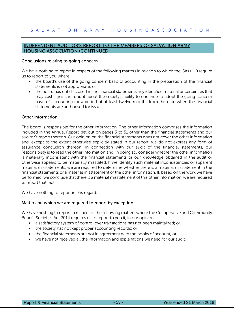# INDEPENDENT AUDITOR'S REPORT TO THE MEMBERS OF SALVATION ARMY HOUSING ASSOCIATION (CONTINUED)

# Conclusions relating to going concern

We have nothing to report in respect of the following matters in relation to which the ISAs (UK) require us to report to you where:

- the board's use of the going concern basis of accounting in the preparation of the financial statements is not appropriate; or
- the board has not disclosed in the financial statements any identified material uncertainties that may cast significant doubt about the society's ability to continue to adopt the going concern basis of accounting for a period of at least twelve months from the date when the financial statements are authorised for issue.

# Other information

The board is responsible for the other information. The other information comprises the information included in the Annual Report, set out on pages 3 to 51 other than the financial statements and our auditor's report thereon. Our opinion on the financial statements does not cover the other information and, except to the extent otherwise explicitly stated in our report, we do not express any form of assurance conclusion thereon. In connection with our audit of the financial statements, our responsibility is to read the other information and, in doing so, consider whether the other information is materially inconsistent with the financial statements or our knowledge obtained in the audit or otherwise appears to be materially misstated. If we identify such material inconsistencies or apparent material misstatements, we are required to determine whether there is a material misstatement in the financial statements or a material misstatement of the other information. If, based on the work we have performed, we conclude that there is a material misstatement of this other information, we are required to report that fact.

We have nothing to report in this regard.

## Matters on which we are required to report by exception

We have nothing to report in respect of the following matters where the Co-operative and Community Benefit Societies Act 2014 requires us to report to you if, in our opinion:

- a satisfactory system of control over transactions has not been maintained; or
- the society has not kept proper accounting records; or
- the financial statements are not in agreement with the books of account; or
- we have not received all the information and explanations we need for our audit.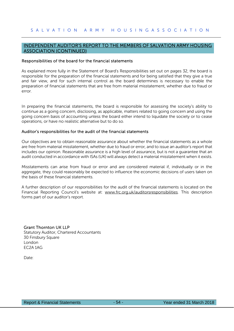# INDEPENDENT AUDITOR'S REPORT TO THE MEMBERS OF SALVATION ARMY HOUSING ASSOCIATION (CONTINUED)

#### Responsibilities of the board for the financial statements

As explained more fully in the Statement of Board's Responsibilities set out on pages 32, the board is responsible for the preparation of the financial statements and for being satisfied that they give a true and fair view, and for such internal control as the board determines is necessary to enable the preparation of financial statements that are free from material misstatement, whether due to fraud or error.

In preparing the financial statements, the board is responsible for assessing the society's ability to continue as a going concern, disclosing, as applicable, matters related to going concern and using the going concern basis of accounting unless the board either intend to liquidate the society or to cease operations, or have no realistic alternative but to do so.

#### Auditor's responsibilities for the audit of the financial statements

Our objectives are to obtain reasonable assurance about whether the financial statements as a whole are free from material misstatement, whether due to fraud or error, and to issue an auditor's report that includes our opinion. Reasonable assurance is a high level of assurance, but is not a guarantee that an audit conducted in accordance with ISAs (UK) will always detect a material misstatement when it exists.

Misstatements can arise from fraud or error and are considered material if, individually or in the aggregate, they could reasonably be expected to influence the economic decisions of users taken on the basis of these financial statements.

A further description of our responsibilities for the audit of the financial statements is located on the Financial Reporting Council's website at: www.frc.org.uk/auditorsresponsibilities. This description forms part of our auditor's report.

## Grant Thornton UK LLP

Statutory Auditor, Chartered Accountants 30 Finsbury Square London EC2A 1AG

Date<sup>.</sup>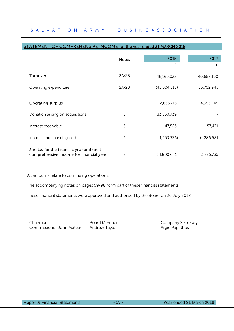| AILMENI<br><u>OF COMPREHEINSIVE INCOME for the year enged 31 MARCH 2018</u>         |              |              |              |
|-------------------------------------------------------------------------------------|--------------|--------------|--------------|
|                                                                                     | <b>Notes</b> | 2018         | 2017         |
|                                                                                     |              | £            | £            |
| Turnover                                                                            | 2A/2B        | 46,160,033   | 40,658,190   |
| Operating expenditure                                                               | 2A/2B        | (43,504,318) | (35,702,945) |
| <b>Operating surplus</b>                                                            |              | 2,655,715    | 4,955,245    |
| Donation arising on acquisitions                                                    | 8            | 33,550,739   |              |
| Interest receivable                                                                 | 5            | 47,523       | 57,471       |
| Interest and financing costs                                                        | 6            | (1,453,336)  | (1,286,981)  |
| Surplus for the financial year and total<br>comprehensive income for financial year | 7            | 34,800,641   | 3,725,735    |

# STATEMENT OF COMPREHENSIVE INCOME for the year ended 31 MARCH 2019

All amounts relate to continuing operations.

The accompanying notes on pages 59-98 form part of these financial statements.

These financial statements were approved and authorised by the Board on 26 July 2018

Chairman Commissioner John Matear

Board Member Andrew Taylor

Company Secretary Argiri Papathos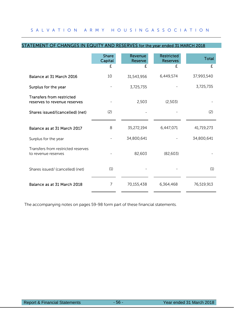|                                                                  | <b>Share</b><br>Capital | Revenue<br><b>Reserve</b> | <b>Restricted</b><br><b>Reserves</b> | Total      |
|------------------------------------------------------------------|-------------------------|---------------------------|--------------------------------------|------------|
|                                                                  | £                       | £                         | £                                    | £          |
| Balance at 31 March 2016                                         | 10                      | 31,543,956                | 6,449,574                            | 37,993,540 |
| Surplus for the year                                             |                         | 3,725,735                 |                                      | 3,725,735  |
| <b>Transfers from restricted</b><br>reserves to revenue reserves |                         | 2,503                     | (2,503)                              |            |
| Shares issued/(cancelled) (net)                                  | (2)                     |                           |                                      | (2)        |
| Balance as at 31 March 2017                                      | 8                       | 35,272,194                | 6,447,071                            | 41,719,273 |
|                                                                  |                         |                           |                                      |            |
| Surplus for the year                                             |                         | 34,800,641                |                                      | 34,800,641 |
| Transfers from restricted reserves<br>to revenue reserves        |                         | 82,603                    | (82, 603)                            |            |
| Shares issued/ (cancelled) (net)                                 | (1)                     |                           |                                      | (1)        |
| Balance as at 31 March 2018                                      | 7                       | 70,155,438                | 6,364,468                            | 76,519,913 |

# STATEMENT OF CHANGES IN EQUITY AND RESERVES for the year ended 31 MARCH 2018

The accompanying notes on pages 59-98 form part of these financial statements.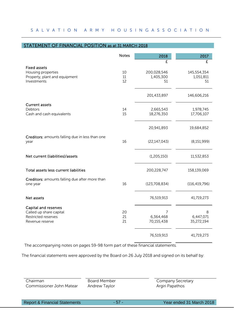# STATEMENT OF FINANCIAL POSITION as at 31 MARCH 2018

|                                                                                                  | <b>Notes</b>   | 2018                           | 2017                           |
|--------------------------------------------------------------------------------------------------|----------------|--------------------------------|--------------------------------|
|                                                                                                  |                | £                              | £                              |
| <b>Fixed assets</b><br>Housing properties<br>Property, plant and equipment<br>Investments        | 10<br>11<br>12 | 200,028,546<br>1,405,300<br>51 | 145,554,354<br>1,051,811<br>51 |
|                                                                                                  |                | 201,433,897                    | 146,606,216                    |
| <b>Current assets</b><br><b>Debtors</b><br>Cash and cash equivalents                             | 14<br>15       | 2,665,543<br>18,276,350        | 1,978,745<br>17,706,107        |
|                                                                                                  |                | 20,941,893                     | 19,684,852                     |
| Creditors: amounts falling due in less than one<br>year                                          | 16             | (22, 147, 043)                 | (8, 151, 999)                  |
| Net current (liabilities)/assets                                                                 |                | (1,205,150)                    | 11,532,853                     |
| Total assets less current liabilities                                                            |                | 200,228,747                    | 158,139,069                    |
| Creditors: amounts falling due after more than<br>one year                                       | 16             | (123, 708, 834)                | (116, 419, 796)                |
| Net assets                                                                                       |                | 76,519,913                     | 41,719,273                     |
| <b>Capital and reserves</b><br>Called up share capital<br>Restricted reserves<br>Revenue reserve | 20<br>21<br>21 | 7<br>6,364,468<br>70,155,438   | 8<br>6,447,071<br>35,272,194   |
|                                                                                                  |                | 76,519,913                     | 41,719,273                     |

The accompanying notes on pages 59-98 form part of these financial statements.

The financial statements were approved by the Board on 26 July 2018 and signed on its behalf by:

| Chairman                 | Board Member  | Company Secretary |
|--------------------------|---------------|-------------------|
| Commissioner John Matear | Andrew Taylor | Argiri Papathos   |
|                          |               |                   |

Report & Financial Statements - 57 - Year ended 31 March 2018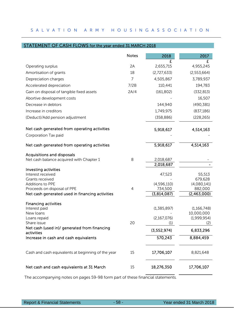# STATEMENT OF CASH FLOWS for the year ended 31 MARCH 2018

|                                                                                | <b>Notes</b> | 2018                   | 2017                      |
|--------------------------------------------------------------------------------|--------------|------------------------|---------------------------|
| Operating surplus                                                              | 2A           | 2,655,715              | £<br>4,955,245            |
| Amortisation of grants                                                         | 18           | (2,727,633)            | (2,553,664)               |
| Depreciation charges                                                           | 7            | 4,505,867              | 3,789,937                 |
| Accelerated depreciation                                                       | 7/2B         | 110,441                | 194,783                   |
| Gain on disposal of tangible fixed assets                                      | 2A/4         | (161, 802)             | (332, 813)                |
| Abortive development costs                                                     |              |                        | 16,507                    |
| Decrease in debtors                                                            |              | 144,940                | (490, 381)                |
| Increase in creditors                                                          |              | 1,749,975              | (837, 186)                |
|                                                                                |              | (358, 886)             | (228, 265)                |
| (Deduct)/Add pension adjustment                                                |              |                        |                           |
| Net cash generated from operating activities                                   |              | 5,918,617              | 4,514,163                 |
| Corporation Tax paid                                                           |              |                        |                           |
| Net cash generated from operating activities                                   |              | 5,918,617              | 4,514,163                 |
| <b>Acquisitions and disposals</b>                                              |              |                        |                           |
| Net cash balance acquired with Chapter 1                                       | 8            | 2,018,687              |                           |
|                                                                                |              | 2,018,687              |                           |
| Investing activities<br>Interest received                                      |              | 47,523                 | 55,513                    |
| Grants received                                                                |              |                        | 679,628                   |
| <b>Additions to PPE</b>                                                        |              | (4,596,110)            | (4,080,141)               |
| Proceeds on disposal of PPE<br>Net cash generated used in financing activities | 4            | 734,500<br>(3,814,087) | 882,000<br>(2,463,000)    |
|                                                                                |              |                        |                           |
| <b>Financing activities</b>                                                    |              |                        |                           |
| Interest paid                                                                  |              | (1,385,897)            | (1,166,748)               |
| New loans<br>Loans repaid                                                      |              | (2, 167, 076)          | 10,000,000<br>(1,999,954) |
| Share issue                                                                    | 20           | (1)                    | (2)                       |
| Net cash (used in)/ generated from financing<br>activities                     |              | (3, 552, 974)          | 6,833,296                 |
| Increase in cash and cash equivalents                                          |              | 570,243                | 8,884,459                 |
| Cash and cash equivalents at beginning of the year                             | 15           | 17,706,107             | 8,821,648                 |
| Net cash and cash equivalents at 31 March                                      | 15           | 18,276,350             | 17,706,107                |

The accompanying notes on pages 59-98 form part of these financial statements.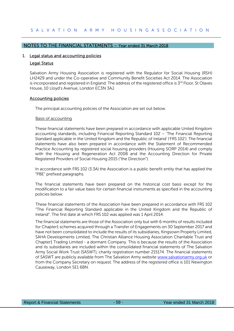# NOTES TO THE FINANCIAL STATEMENTS – Year ended 31 March 2018

#### 1. Legal status and accounting policies

#### Legal Status

Salvation Army Housing Association is registered with the Regulator for Social Housing (RSH) LH2429 and under the Co-operative and Community Benefit Societies Act 2014. The Association is incorporated and registered in England. The address of the registered office is  $3<sup>rd</sup>$  Floor, St Olaves House, 10 Lloyd's Avenue, London EC3N 3AJ.

#### Accounting policies

The principal accounting policies of the Association are set out below.

#### Basis of accounting

These financial statements have been prepared in accordance with applicable United Kingdom accounting standards, including Financial Reporting Standard 102 – 'The Financial Reporting Standard applicable in the United Kingdom and the Republic of Ireland' ('FRS 102'). The financial statements have also been prepared in accordance with the Statement of Recommended Practice Accounting by registered social housing providers (Housing SORP 2014) and comply with the Housing and Regeneration Act 2008 and the Accounting Direction for Private Registered Providers of Social Housing 2015 ("the Direction").

In accordance with FRS 102 (3.3A) the Association is a public benefit entity that has applied the "PBE" prefixed paragraphs.

The financial statements have been prepared on the historical cost basis except for the modification to a fair value basis for certain financial instruments as specified in the accounting policies below.

These financial statements of the Association have been prepared in accordance with FRS 102 "The Financial Reporting Standard applicable in the United Kingdom and the Republic of Ireland". The first date at which FRS 102 was applied was 1 April 2014.

The financial statements are those of the Association only but with 6 months of results included for Chapter1 schemes acquired through a Transfer of Engagements on 30 September 2017 and have not been consolidated to include the results of its subsidiaries, Kingsown Property Limited, SAHA Developments Limited, The Christian Alliance Housing Association Charitable Trust and Chapter1 Trading Limited - a dormant Company. This is because the results of the Association and its subsidiaries are included within the consolidated financial statements of The Salvation Army Social Work Trust (SASWT), charity registration number 215174. The financial statements of SASWT are publicly available from The Salvation Army website www.salvationarmy.org.uk or from the Company Secretary on request. The address of the registered office is 101 Newington Causeway, London SE1 6BN.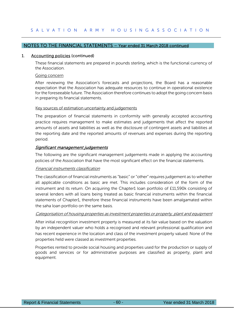# 1. Accounting policies (continued)

These financial statements are prepared in pounds sterling, which is the functional currency of the Association.

#### Going concern

After reviewing the Association's forecasts and projections, the Board has a reasonable expectation that the Association has adequate resources to continue in operational existence for the foreseeable future. The Association therefore continues to adopt the going concern basis in preparing its financial statements.

#### Key sources of estimation uncertainty and judgements

The preparation of financial statements in conformity with generally accepted accounting practice requires management to make estimates and judgements that affect the reported amounts of assets and liabilities as well as the disclosure of contingent assets and liabilities at the reporting date and the reported amounts of revenues and expenses during the reporting period.

# Significant management judgements

The following are the significant management judgements made in applying the accounting policies of the Association that have the most significant effect on the financial statements.

## Financial instruments classification

The classification of financial instruments as "basic" or "other" requires judgement as to whether all applicable conditions as basic are met. This includes consideration of the form of the instrument and its return. On acquiring the Chapter1 loan portfolio of £11,590k consisting of several lenders with all loans being treated as basic financial instruments within the financial statements of Chapter1, therefore these financial instruments have been amalgamated within the saha loan portfolio on the same basis.

## Categorisation of housing properties as investment properties or property, plant and equipment

After initial recognition investment property is measured at its fair value based on the valuation by an independent valuer who holds a recognised and relevant professional qualification and has recent experience in the location and class of the investment property valued. None of the properties held were classed as investment properties.

Properties rented to provide social housing and properties used for the production or supply of goods and services or for administrative purposes are classified as property, plant and equipment.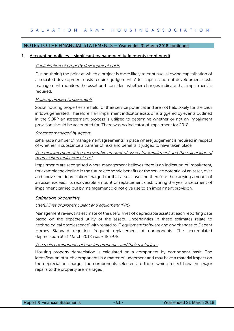# 1. Accounting policies – significant management judgements (continued)

#### Capitalisation of property development costs

Distinguishing the point at which a project is more likely to continue, allowing capitalisation of associated development costs requires judgement. After capitalisation of development costs management monitors the asset and considers whether changes indicate that impairment is required.

#### **Housing property impairments**

Social housing properties are held for their service potential and are not held solely for the cash inflows generated. Therefore if an impairment indicator exists or is triggered by events outlined in the SORP an assessment process is utilised to determine whether or not an impairment provision should be accounted for. There was no indicator of impairment for 2018.

#### Schemes managed by agents

saha has a number of management agreements in place where judgement is required in respect of whether in substance a transfer of risks and benefits is judged to have taken place.

# The measurement of the recoverable amount of assets for impairment and the calculation of depreciation replacement cost

Impairments are recognised where management believes there is an indication of impairment, for example the decline in the future economic benefits or the service potential of an asset, over and above the depreciation charged for that asset's use and therefore the carrying amount of an asset exceeds its recoverable amount or replacement cost. During the year assessment of impairment carried out by management did not give rise to an impairment provision.

# Estimation uncertainty

## Useful lives of property, plant and equipment (PPE)

Management reviews its estimate of the useful lives of depreciable assets at each reporting date based on the expected utility of the assets. Uncertainties in these estimates relate to 'technological obsolescence' with regard to IT equipment/software and any changes to Decent Homes Standard requiring frequent replacement of components. The accumulated depreciation at 31 March 2018 was £48,797k.

## The main components of housing properties and their useful lives

Housing property depreciation is calculated on a component by component basis. The identification of such components is a matter of judgement and may have a material impact on the depreciation charge. The components selected are those which reflect how the major repairs to the property are managed.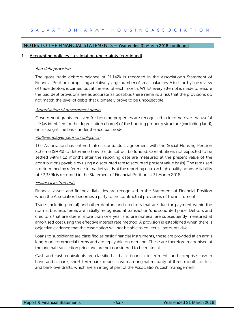# 1. Accounting policies – estimation uncertainty (continued)

## **Bad debt provision**

The gross trade debtors balance of £1,142k is recorded in the Association's Statement of Financial Position comprising a relatively large number of small balances. A full line by line review of trade debtors is carried out at the end of each month. Whilst every attempt is made to ensure the bad debt provisions are as accurate as possible, there remains a risk that the provisions do not match the level of debts that ultimately prove to be uncollectible.

#### Amortisation of government grants

Government grants received for housing properties are recognised in income over the useful life (as identified for the depreciation charge) of the housing property structure (excluding land), on a straight line basis under the accrual model.

## Multi-employer pension obligation

The Association has entered into a contractual agreement with the Social Housing Pension Scheme (SHPS) to determine how the deficit will be funded. Contributions not expected to be settled within 12 months after the reporting date are measured at the present value of the contributions payable by using a discounted rate (discounted present value basis). The rate used is determined by reference to market yields at the reporting date on high quality bonds. A liability of £2,339k is recorded in the Statement of Financial Position at 31 March 2018.

## Financial instruments

Financial assets and financial liabilities are recognised in the Statement of Financial Position when the Association becomes a party to the contractual provisions of the instrument.

Trade (including rental) and other debtors and creditors that are due for payment within the normal business terms are initially recognised at transaction/undiscounted price. Debtors and creditors that are due in more than one year and are material are subsequently measured at amortised cost using the effective interest rate method. A provision is established when there is objective evidence that the Association will not be able to collect all amounts due.

Loans to subsidiaries are classified as basic financial instruments, these are provided at an arm's length on commercial terms and are repayable on demand. These are therefore recognised at the original transaction price and are not considered to be material.

Cash and cash equivalents are classified as basic financial instruments and comprise cash in hand and at bank, short-term bank deposits with an original maturity of three months or less and bank overdrafts, which are an integral part of the Association's cash management.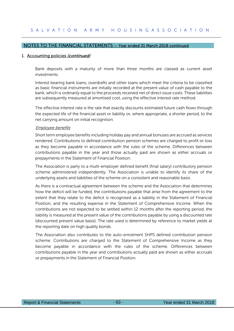# 1. Accounting policies (continued)

Bank deposits with a maturity of more than three months are classed as current asset investments

Interest bearing bank loans, overdrafts and other loans which meet the criteria to be classified as basic financial instruments are initially recorded at the present value of cash payable to the bank, which is ordinarily equal to the proceeds received net of direct issue costs. These liabilities are subsequently measured at amortised cost, using the effective interest rate method.

The effective interest rate is the rate that exactly discounts estimated future cash flows through the expected life of the financial asset or liability or, where appropriate, a shorter period, to the net carrying amount on initial recognition.

#### Employee benefits

Short term employee benefits including holiday pay and annual bonuses are accrued as services rendered. Contributions to defined contribution pension schemes are charged to profit or loss as they become payable in accordance with the rules of the scheme. Differences between contributions payable in the year and those actually paid are shown as either accruals or prepayments in the Statement of Financial Position.

The Association is party to a multi-employer defined benefit (final salary) contributory pension scheme administered independently. The Association is unable to identify its share of the underlying assets and liabilities of the scheme on a consistent and reasonable basis.

As there is a contractual agreement between the scheme and the Association that determines how the deficit will be funded, the contributions payable that arise from the agreement to the extent that they relate to the deficit is recognised as a liability in the Statement of Financial Position, and the resulting expense in the Statement of Comprehensive Income. When the contributions are not expected to be settled within 12 months after the reporting period, the liability is measured at the present value of the contributions payable by using a discounted rate (discounted present value basis). The rate used is determined by reference to market yields at the reporting date on high quality bonds.

The Association also contributes to the auto-enrolment SHPS defined contribution pension scheme. Contributions are charged to the Statement of Comprehensive Income as they become payable in accordance with the rules of the scheme. Differences between contributions payable in the year and contributions actually paid are shown as either accruals or prepayments in the Statement of Financial Position.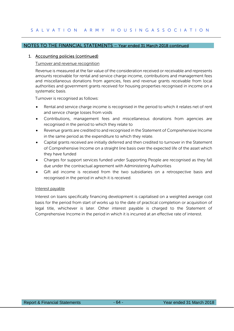# 1. Accounting policies (continued)

## Turnover and revenue recognition

Revenue is measured at the fair value of the consideration received or receivable and represents amounts receivable for rental and service charge income, contributions and management fees and miscellaneous donations from agencies, fees and revenue grants receivable from local authorities and government grants received for housing properties recognised in income on a systematic basis.

Turnover is recognised as follows:

- Rental and service charge income is recognised in the period to which it relates net of rent and service charge losses from voids
- Contributions, management fees and miscellaneous donations from agencies are recognised in the period to which they relate to
- Revenue grants are credited to and recognised in the Statement of Comprehensive Income in the same period as the expenditure to which they relate.
- Capital grants received are initially deferred and then credited to turnover in the Statement of Comprehensive Income on a straight line basis over the expected life of the asset which they have funded
- Charges for support services funded under Supporting People are recognised as they fall due under the contractual agreement with Administering Authorities
- Gift aid income is received from the two subsidiaries on a retrospective basis and recognised in the period in which it is received.

## Interest payable

Interest on loans specifically financing development is capitalised on a weighted average cost basis for the period from start of works up to the date of practical completion or acquisition of legal title, whichever is later. Other interest payable is charged to the Statement of Comprehensive Income in the period in which it is incurred at an effective rate of interest.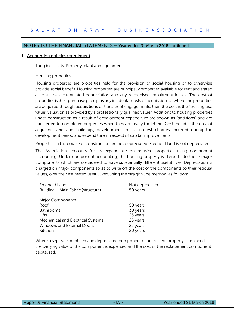#### 1. Accounting policies (continued)

#### Tangible assets: Property, plant and equipment

#### Housing properties

Housing properties are properties held for the provision of social housing or to otherwise provide social benefit. Housing properties are principally properties available for rent and stated at cost less accumulated depreciation and any recognised impairment losses. The cost of properties is their purchase price plus any incidental costs of acquisition, or where the properties are acquired through acquisitions or transfer of engagements, then the cost is the "existing use value" valuation as provided by a professionally qualified valuer. Additions to housing properties under construction as a result of development expenditure are shown as "additions" and are transferred to completed properties when they are ready for letting. Cost includes the cost of acquiring land and buildings, development costs, interest charges incurred during the development period and expenditure in respect of capital improvements.

Properties in the course of construction are not depreciated. Freehold land is not depreciated.

The Association accounts for its expenditure on housing properties using component accounting. Under component accounting, the housing property is divided into those major components which are considered to have substantially different useful lives. Depreciation is charged on major components so as to write off the cost of the components to their residual values, over their estimated useful lives, using the straight-line method, as follows:

| Freehold Land                      | Not depreciated |
|------------------------------------|-----------------|
| Building - Main Fabric (structure) | 50 years        |
|                                    |                 |
| <b>Major Components</b>            |                 |
| Roof                               | 50 years        |
| <b>Bathrooms</b>                   | 30 years        |
| Lifts                              | 25 years        |
| Mechanical and Electrical Systems  | 25 years        |
| <b>Windows and External Doors</b>  | 25 years        |
| Kitchens                           | 20 years        |

Where a separate identified and depreciated component of an existing property is replaced, the carrying value of the component is expensed and the cost of the replacement component capitalised.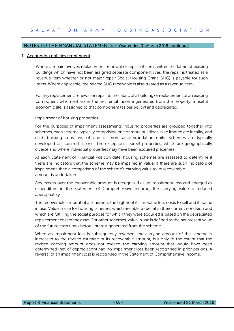# 1. Accounting policies (continued)

Where a repair involves replacement, renewal or repair of items within the fabric of existing buildings which have not been assigned separate component lives, the repair is treated as a revenue item whether or not major repair Social Housing Grant (SHG) is payable for such items. Where applicable, the related SHG receivable is also treated as a revenue item.

For any replacement, renewal or repair to the fabric of a building or replacement of an existing component which enhances the net rental income generated from the property, a useful economic life is assigned to that component (as per policy) and depreciated.

#### Impairment of housing properties

For the purposes of impairment assessments, housing properties are grouped together into schemes, each scheme typically comprising one or more buildings in an immediate locality, and each building consisting of one or more accommodation units. Schemes are typically developed or acquired as one. The exception is street properties, which are geographically diverse and where individual properties may have been acquired piecemeal.

At each Statement of Financial Position date, housing schemes are assessed to determine if there are indicators that the scheme may be impaired in value; if there are such indicators of impairment, then a comparison of the scheme's carrying value to its recoverable amount is undertaken.

Any excess over the recoverable amount is recognised as an impairment loss and charged as expenditure in the Statement of Comprehensive Income; the carrying value is reduced appropriately.

The recoverable amount of a scheme is the higher of its fair value less costs to sell and its value in use. Value in use for housing schemes which are able to be let in their current condition and which are fulfilling the social purpose for which they were acquired is based on the depreciated replacement cost of the asset. For other schemes, value in use is defined as the net present value of the future cash flows before interest generated from the scheme.

When an impairment loss is subsequently reversed, the carrying amount of the scheme is increased to the revised estimate of its recoverable amount, but only to the extent that the revised carrying amount does not exceed the carrying amount that would have been determined (net of depreciation) had no impairment loss been recognised in prior periods. A reversal of an impairment loss is recognised in the Statement of Comprehensive Income.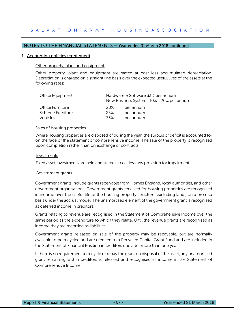#### 1. Accounting policies (continued)

#### Other property, plant and equipment

Other property, plant and equipment are stated at cost less accumulated depreciation. Depreciation is charged on a straight line basis over the expected useful lives of the assets at the following rates:

| Office Equipment | Hardware & Software 33% per annum<br>New Business Systems 10% - 20% per annum |           |  |  |
|------------------|-------------------------------------------------------------------------------|-----------|--|--|
| Office Furniture | <b>20%</b>                                                                    | per annum |  |  |
| Scheme Furniture | 25%                                                                           | per annum |  |  |
| Vehicles         | 33%                                                                           | per annum |  |  |

#### Sales of housing properties

Where housing properties are disposed of during the year, the surplus or deficit is accounted for on the face of the statement of comprehensive income. The sale of the property is recognised upon completion rather than on exchange of contracts.

#### Investments

Fixed asset investments are held and stated at cost less any provision for impairment.

#### Government grants

Government grants include grants receivable from Homes England, local authorities, and other government organisations. Government grants received for housing properties are recognised in income over the useful life of the housing property structure (excluding land), on a pro rata basis under the accrual model. The unamortised element of the government grant is recognised as deferred income in creditors.

Grants relating to revenue are recognised in the Statement of Comprehensive Income over the same period as the expenditure to which they relate. Until the revenue grants are recognised as income they are recorded as liabilities.

Government grants released on sale of the property may be repayable, but are normally available to be recycled and are credited to a Recycled Capital Grant Fund and are included in the Statement of Financial Position in creditors due after more than one year.

If there is no requirement to recycle or repay the grant on disposal of the asset, any unamortised grant remaining within creditors is released and recognised as income in the Statement of Comprehensive Income.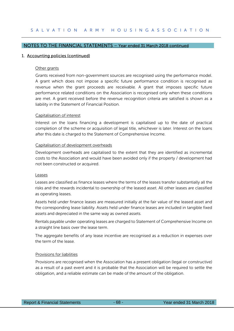# 1. Accounting policies (continued)

## Other grants

Grants received from non-government sources are recognised using the performance model. A grant which does not impose a specific future performance condition is recognised as revenue when the grant proceeds are receivable. A grant that imposes specific future performance related conditions on the Association is recognised only when these conditions are met. A grant received before the revenue recognition criteria are satisfied is shown as a liability in the Statement of Financial Position.

#### Capitalisation of interest

Interest on the loans financing a development is capitalised up to the date of practical completion of the scheme or acquisition of legal title, whichever is later. Interest on the loans after this date is charged to the Statement of Comprehensive Income.

#### Capitalisation of development overheads

Development overheads are capitalised to the extent that they are identified as incremental costs to the Association and would have been avoided only if the property / development had not been constructed or acquired.

#### Leases

Leases are classified as finance leases where the terms of the leases transfer substantially all the risks and the rewards incidental to ownership of the leased asset. All other leases are classified as operating leases.

Assets held under finance leases are measured initially at the fair value of the leased asset and the corresponding lease liability. Assets held under finance leases are included in tangible fixed assets and depreciated in the same way as owned assets.

Rentals payable under operating leases are charged to Statement of Comprehensive Income on a straight line basis over the lease term.

The aggregate benefits of any lease incentive are recognised as a reduction in expenses over the term of the lease.

## Provisions for liabilities

Provisions are recognised when the Association has a present obligation (legal or constructive) as a result of a past event and it is probable that the Association will be required to settle the obligation, and a reliable estimate can be made of the amount of the obligation.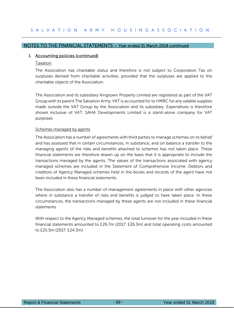# 1. Accounting policies (continued)

## Taxation

The Association has charitable status and therefore is not subject to Corporation Tax on surpluses derived from charitable activities, provided that the surpluses are applied to the charitable objects of the Association.

The Association and its subsidiary Kingsown Property Limited are registered as part of the VAT Group with its parent The Salvation Army. VAT is accounted for to HMRC for any vatable supplies made outside the VAT Group by the Association and its subsidiary. Expenditure is therefore shown inclusive of VAT. SAHA Developments Limited is a stand-alone company for VAT purposes.

## Schemes managed by agents

The Association has a number of agreements with third parties to manage schemes on its behalf and has assessed that in certain circumstances, in substance, and on balance a transfer to the managing agents of the risks and benefits attached to schemes has not taken place. These financial statements are therefore drawn up on the basis that it is appropriate to include the transactions managed by the agents. The values of the transactions associated with agency managed schemes are included in the Statement of Comprehensive Income. Debtors and creditors of Agency Managed schemes held in the books and records of the agent have not been included in these financial statements.

The Association also has a number of management agreements in place with other agencies where in substance a transfer of risks and benefits is judged to have taken place. In these circumstances, the transactions managed by these agents are not included in these financial statements.

With respect to the Agency Managed schemes, the total turnover for the year included in these financial statements amounted to £26.7m (2017: £26.3m) and total operating costs amounted to £25.5m (2017: £24.3m).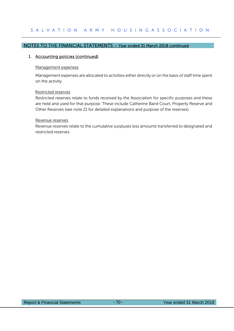# 1. Accounting policies (continued)

#### Management expenses

Management expenses are allocated to activities either directly or on the basis of staff time spent on the activity.

#### Restricted reserves

Restricted reserves relate to funds received by the Association for specific purposes and these are held and used for that purpose. These include Catherine Baird Court, Property Reserve and Other Reserves (see note 21 for detailed explanations and purpose of the reserves).

#### Revenue reserves

Revenue reserves relate to the cumulative surpluses less amounts transferred to designated and restricted reserves.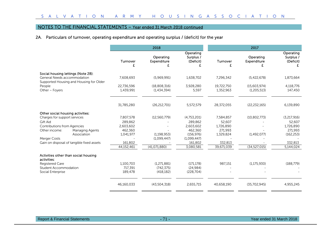# 2A. Particulars of turnover, operating expenditure and operating surplus / (deficit) for the year

|                                                                                                              | 2018                    |                                 |                                     | 2017                    |                               |                                     |  |
|--------------------------------------------------------------------------------------------------------------|-------------------------|---------------------------------|-------------------------------------|-------------------------|-------------------------------|-------------------------------------|--|
|                                                                                                              | Turnover                | Operating<br><b>Expenditure</b> | Operating<br>Surplus /<br>(Deficit) | Turnover<br>f           | Operating<br>Expenditure      | Operating<br>Surplus /<br>(Deficit) |  |
| Social housing lettings (Note 2B):<br>General Needs accommodation<br>Supported Housing and Housing for Older | 7,608,693               | (5,969,991)                     | 1,638,702                           | 7,296,342               | (5,422,678)                   | 1,873,664                           |  |
| People<br>Other - Foyers                                                                                     | 22,736,596<br>1,439,991 | (18,808,316)<br>(1,434,394)     | 3,928,280<br>5,597                  | 19,722,750<br>1,352,963 | (15,603,974)<br>(1, 205, 513) | 4,118,776<br>147,450                |  |
|                                                                                                              | 31,785,280              | (26, 212, 701)                  | 5,572,579                           | 28,372,055              | (22, 232, 165)                | 6,139,890                           |  |
| Other social housing activities:                                                                             |                         |                                 |                                     |                         |                               |                                     |  |
| Charges for support services                                                                                 | 7,807,578               | (12,560,779)                    | (4,753,201)                         | 7,584,857               | (10, 802, 773)                | (3,217,916)                         |  |
| <b>Gift Aid</b>                                                                                              | 289.862                 |                                 | 289,862                             | 52.607                  |                               | 52,607                              |  |
| <b>Contributions from Agencies</b>                                                                           | 2,603,602               |                                 | 2,603,602                           | 1,726,890               |                               | 1,726,890                           |  |
| Other income:<br>Managing Agents                                                                             | 462,360                 |                                 | 462,360                             | 271,993                 |                               | 271,993                             |  |
| Association                                                                                                  | 1,041,977               | (1.198.953)                     | (156, 976)                          | 1,329,824               | (1,492,077)                   | (162, 253)                          |  |
| <b>Merger Costs</b>                                                                                          |                         | (1,099,447)                     | (1,099,447)                         |                         |                               |                                     |  |
| Gain on disposal of tangible fixed assets                                                                    | 161,802                 |                                 | 161,802                             | 332,813                 |                               | 332,813                             |  |
|                                                                                                              | 44,152,461              | (41,071,880)                    | 3,080,581                           | 39,671,039              | (34, 527, 015)                | 5,144,024                           |  |
| Activities other than social housing<br>activities:                                                          |                         |                                 |                                     |                         |                               |                                     |  |
| Registered Care                                                                                              | 1,100,703               | (1.271.881)                     | (171, 178)                          | 987,151                 | (1, 175, 930)                 | (188, 779)                          |  |
| <b>Student Accommodation</b>                                                                                 | 717,391                 | (742, 375)                      | (24, 984)                           |                         |                               |                                     |  |
| Social Enterprise                                                                                            | 189,478                 | (418, 182)                      | (228, 704)                          |                         |                               |                                     |  |
|                                                                                                              | 46,160,033              | (43,504,318)                    | 2,655,715                           | 40,658,190              | (35,702,945)                  | 4,955,245                           |  |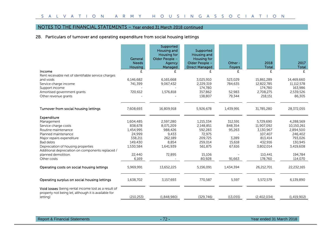# 2B. Particulars of turnover and operating expenditure from social housing lettings

|                                                                                                              | General             | Supported<br>Housing and<br>Housing for<br>Older People - | Supported<br>Housing and<br><b>Housing for</b> |                    |                   |                   |
|--------------------------------------------------------------------------------------------------------------|---------------------|-----------------------------------------------------------|------------------------------------------------|--------------------|-------------------|-------------------|
|                                                                                                              | <b>Needs</b>        | Agency                                                    | Older People -                                 | Other -            | 2018              | 2017              |
|                                                                                                              | <b>Housing</b><br>£ | Managed                                                   | <b>Direct Managed</b>                          | <b>Foyers</b><br>£ | <b>Total</b><br>£ | <b>Total</b><br>£ |
| Income<br>Rent receivable net of identifiable service charges                                                |                     |                                                           |                                                |                    |                   |                   |
| and voids                                                                                                    | 6,146,682           | 6,165,668                                                 | 3,025,910                                      | 523.029            | 15,861,289        | 14,469,660        |
| Service charge income                                                                                        | 741,399             | 9,067,432                                                 | 2,229,319                                      | 784,635            | 12,822,785        | 11,112,578        |
| Support income                                                                                               |                     |                                                           | 174,780                                        |                    | 174,780           | 163,986           |
| Amortised government grants                                                                                  | 720,612             | 1,576,818                                                 | 357,862                                        | 52,983             | 2,708,275         | 2,539,526         |
| Other revenue grants                                                                                         |                     |                                                           | 138,807                                        | 79,344             | 218,151           | 86,305            |
|                                                                                                              |                     |                                                           |                                                |                    |                   |                   |
| Turnover from social housing lettings                                                                        | 7,608,693           | 16,809,918                                                | 5,926,678                                      | 1,439,991          | 31,785,280        | 28,372,055        |
| Expenditure                                                                                                  |                     |                                                           |                                                |                    |                   |                   |
| Management                                                                                                   | 1,604,485           | 2,597,280                                                 | 1,215,334                                      | 312,591            | 5,729,690         | 4,288,569         |
| Service charge costs                                                                                         | 838,678             | 8,071,209                                                 | 2,148,851                                      | 848,354            | 11,907,092        | 10,150,261        |
| Routine maintenance                                                                                          | 1,454,995           | 988,426                                                   | 592,283                                        | 95,263             | 3,130,967         | 2,894,500         |
| Planned maintenance                                                                                          | 24,999              | 9,433                                                     | 72,975                                         |                    | 107,407           | 246,402           |
| Major repairs expenditure                                                                                    | 338,211             | 262,189                                                   | 209,725                                        | 3,289              | 813,414           | 793,026           |
| Bad debts                                                                                                    | 149,430             | 8,854                                                     | 259,014                                        | 15,618             | 432,916           | 130,945           |
| Depreciation of housing properties<br>Additional depreciation on components replaced /                       | 1,530,584           | 1,641,939                                                 | 561,875                                        | 67,616             | 3,802,014         | 3,419,608         |
| planned demolition.                                                                                          | 22,440              | 72,895                                                    | 15,106                                         |                    | 110,441           | 194,784           |
| Other costs                                                                                                  | 6.169               |                                                           | 80,928                                         | 91,663             | 178,760           | 114,070           |
|                                                                                                              |                     |                                                           |                                                |                    |                   |                   |
| Operating costs on social housing lettings                                                                   | 5,969,991           | 13,652,225                                                | 5,156,091                                      | 1,434,394          | 26,212,701        | 22,232,165        |
| Operating surplus on social housing lettings                                                                 | 1.638.702           | 3,157,693                                                 | 770,587                                        | 5,597              | 5,572,579         | 6.139.890         |
| Void losses (being rental income lost as a result of<br>property not being let, although it is available for |                     |                                                           |                                                |                    |                   |                   |
| letting)                                                                                                     | (210, 253)          | (1,848,980)                                               | (329, 746)                                     | (13, 055)          | (2,402,034)       | (1,419,902)       |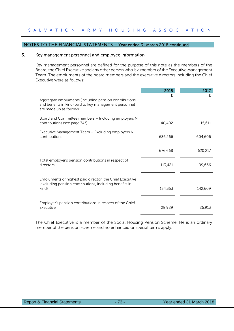## 3. Key management personnel and employee information

Key management personnel are defined for the purpose of this note as the members of the Board, the Chief Executive and any other person who is a member of the Executive Management Team. The emoluments of the board members and the executive directors including the Chief Executive were as follows:

|                                                                                                                                            | 2018    | 2017    |
|--------------------------------------------------------------------------------------------------------------------------------------------|---------|---------|
| Aggregate emoluments (including pension contributions<br>and benefits in kind) paid to key management personnel<br>are made up as follows: | f       | f       |
| Board and Committee members - Including employers NI<br>contributions (see page 74*)                                                       | 40,402  | 15,611  |
| Executive Management Team - Excluding employers NI<br>contributions                                                                        | 636,266 | 604,606 |
|                                                                                                                                            | 676,668 | 620,217 |
| Total employer's pension contributions in respect of<br>directors                                                                          | 113,421 | 99,666  |
| Emoluments of highest paid director, the Chief Executive<br>(excluding pension contributions, including benefits in<br>kind)               | 134,353 | 142,609 |
| Employer's pension contributions in respect of the Chief<br>Executive                                                                      | 28,989  | 26,913  |

The Chief Executive is a member of the Social Housing Pension Scheme. He is an ordinary member of the pension scheme and no enhanced or special terms apply.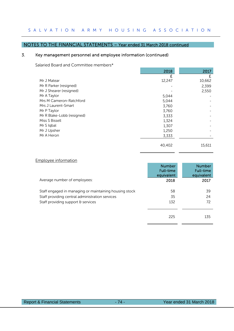# NOTES TO THE FINANCIAL STATEMENTS – Year ended 31 March 2018 continued

# 3. Key management personnel and employee information (continued)

Salaried Board and Committee members\*

|                            | 2018   | 2017   |
|----------------------------|--------|--------|
|                            | £      | £      |
| Mr J Matear                | 12,247 | 10,662 |
| Mr R Parker (resigned)     |        | 2,399  |
| Mr J Shearer (resigned)    |        | 2,550  |
| Mr A Taylor                | 5,044  |        |
| Mrs M Cameron-Ratchford    | 5,044  |        |
| Mrs J Laurent-Smart        | 3,760  |        |
| Mr P Taylor                | 3,760  |        |
| Mr R Blake-Lobb (resigned) | 3,333  |        |
| Miss S Bissell             | 1,324  |        |
| Mr S Iqbal                 | 1,307  |        |
| Mr J Upsher                | 1,250  |        |
| Mr A Heron                 | 3,333  |        |
|                            |        |        |
|                            | 40,402 | 15,611 |
|                            |        |        |

|  |  | Employee information |
|--|--|----------------------|
|  |  |                      |

|                                                        | <b>Number</b><br><b>Full-time</b><br>equivalent | <b>Number</b><br><b>Full-time</b><br>equivalent |
|--------------------------------------------------------|-------------------------------------------------|-------------------------------------------------|
| Average number of employees:                           | 2018                                            | 2017                                            |
| Staff engaged in managing or maintaining housing stock | 58                                              | 39                                              |
| Staff providing central administration services        | 35                                              | 24                                              |
| Staff providing support & services                     | 132                                             | 72                                              |
|                                                        | 225                                             | 135                                             |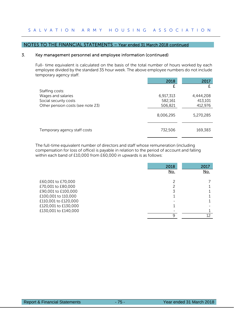## 3. Key management personnel and employee information (continued)

Full- time equivalent is calculated on the basis of the total number of hours worked by each employee divided by the standard 35 hour week. The above employee numbers do not include temporary agency staff.

|                                             | 2018                 | 2017                 |
|---------------------------------------------|----------------------|----------------------|
| Staffing costs:                             |                      |                      |
| Wages and salaries<br>Social security costs | 6,917,313<br>582,161 | 4,444,208<br>413,101 |
| Other pension costs (see note 23)           | 506,821              | 412,976              |
|                                             | 8,006,295            | 5,270,285            |
| Temporary agency staff costs                | 732,506              | 169,383              |

The full-time equivalent number of directors and staff whose remuneration (including compensation for loss of office) is payable in relation to the period of account and falling within each band of £10,000 from £60,000 in upwards is as follows:

|                      | 2018       | 2017       |
|----------------------|------------|------------|
|                      | <u>No.</u> | <u>No.</u> |
|                      |            |            |
| £60,001 to £70,000   |            |            |
| £70,001 to £80,000   |            |            |
| £90,001 to £100,000  | 3          |            |
| £100,001 to 110,000  |            |            |
| £110,001 to £120,000 |            |            |
| £120,001 to £130,000 |            |            |
| £130,001 to £140,000 |            |            |
|                      | Q          |            |
|                      |            |            |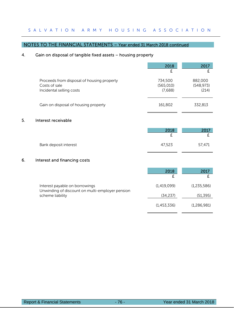# NOTES TO THE FINANCIAL STATEMENTS – Year ended 31 March 2018 continued

# 4. Gain on disposal of tangible fixed assets – housing property

|                                                                                         | 2018                             | 2017                           |
|-----------------------------------------------------------------------------------------|----------------------------------|--------------------------------|
| Proceeds from disposal of housing property<br>Costs of sale<br>Incidental selling costs | 734,500<br>(565, 010)<br>(7,688) | 882,000<br>(548, 973)<br>(214) |
| Gain on disposal of housing property                                                    | 161,802                          | 332,813                        |

## 5. Interest receivable

|                       | 2018   |        |
|-----------------------|--------|--------|
|                       |        |        |
| Bank deposit interest | 47,523 | 57,471 |

# 6. Interest and financing costs

|                                                                                   | 2018        | 2017        |
|-----------------------------------------------------------------------------------|-------------|-------------|
| Interest payable on borrowings<br>Unwinding of discount on multi-employer pension | (1,419,099) | (1,235,586) |
| scheme liability                                                                  | (34, 237)   | (51, 395)   |
|                                                                                   | (1,453,336) | (1,286,981) |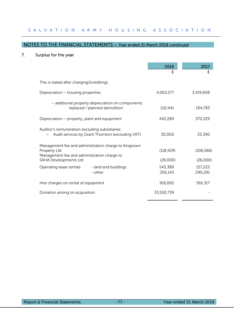# 7. Surplus for the year

|                                                                                                                     | 2018<br>£          | 2017<br>£          |
|---------------------------------------------------------------------------------------------------------------------|--------------------|--------------------|
| This is stated after charging/(crediting):                                                                          |                    |                    |
| Depreciation – housing properties                                                                                   | 4,063,577          | 3,419,608          |
| - additional property depreciation on components<br>replaced / planned demolition                                   | 110,441            | 194,783            |
| Depreciation – property, plant and equipment                                                                        | 442,289            | 370,329            |
| Auditor's remuneration excluding subsidiaries:<br>Audit services by Grant Thornton (excluding VAT)                  | 30,000             | 25,390             |
| Management fee and administration charge to Kingsown<br>Property Ltd<br>Management fee and administration charge to | (118, 429)         | (106, 566)         |
| SAHA Developments Ltd                                                                                               | (26,000)           | (26,000)           |
| Operating lease rentals<br>- land and buildings<br>- other                                                          | 543,389<br>356,143 | 157,222<br>290,291 |
| Hire charges on rental of equipment                                                                                 | 916,062            | 916,317            |
| Donation arising on acquisition                                                                                     | 33,550,739         |                    |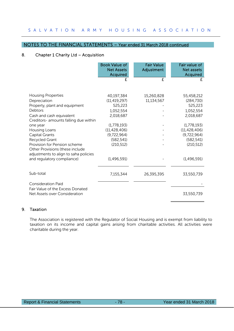#### NOTES TO THE FINANCIAL STATEMENTS – Year ended 31 March 2018 continued

## 8. Chapter 1 Charity Ltd – Acquisition

|                                                                                                                            | <b>Book Value of</b><br><b>Net Assets</b><br>Acquired | <b>Fair Value</b><br>Adjustment | Fair value of<br><b>Net assets</b><br>Acquired |
|----------------------------------------------------------------------------------------------------------------------------|-------------------------------------------------------|---------------------------------|------------------------------------------------|
|                                                                                                                            | £                                                     | £                               | £                                              |
| <b>Housing Properties</b><br>Depreciation                                                                                  | 40,197,384<br>(11, 419, 297)                          | 15,260,828<br>11,134,567        | 55,458,212<br>(284, 730)                       |
| Property, plant and equipment                                                                                              | 525,223                                               |                                 | 525,223                                        |
| Debtors<br>Cash and cash equivalent<br>Creditors- amounts falling due within                                               | 1,052,554<br>2,018,687                                |                                 | 1,052,554<br>2,018,687                         |
| one year                                                                                                                   | (1,778,193)                                           |                                 | (1,778,193)                                    |
| Housing Loans                                                                                                              | (11, 428, 406)                                        |                                 | (11, 428, 406)                                 |
| <b>Capital Grants</b>                                                                                                      | (9,722,964)                                           |                                 | (9,722,964)                                    |
| Recycled Grant<br>Provision for Pension scheme<br>Other Provisions (these include<br>adjustments to align to saha policies | (582, 541)<br>(210, 512)                              |                                 | (582, 541)<br>(210, 512)                       |
| and regulatory compliance)                                                                                                 | (1,496,591)                                           |                                 | (1,496,591)                                    |
| Sub-total                                                                                                                  | 7,155,344                                             | 26,395,395                      | 33,550,739                                     |
| <b>Consideration Paid</b><br>Fair Value of the Excess Donated                                                              |                                                       |                                 |                                                |
| Net Assets over Consideration                                                                                              |                                                       |                                 | 33,550,739                                     |

## 9. Taxation

The Association is registered with the Regulator of Social Housing and is exempt from liability to taxation on its income and capital gains arising from charitable activities. All activities were charitable during the year.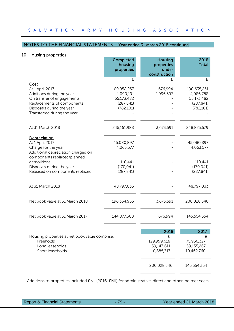## 10. Housing properties

|                                                                                                                                                                              | Completed<br>housing<br>properties                                 | Housing<br>properties<br>under<br>construction | 2018<br>Total                                                      |
|------------------------------------------------------------------------------------------------------------------------------------------------------------------------------|--------------------------------------------------------------------|------------------------------------------------|--------------------------------------------------------------------|
|                                                                                                                                                                              | £                                                                  |                                                | £                                                                  |
| Cost<br>At 1 April 2017<br>Additions during the year<br>On transfer of engagements<br>Replacements of components<br>Disposals during the year<br>Transferred during the year | 189,958,257<br>1,090,191<br>55,173,482<br>(287, 841)<br>(782, 101) | 676,994<br>2,996,597                           | 190,635,251<br>4,086,788<br>55,173,482<br>(287, 841)<br>(782, 101) |
| At 31 March 2018                                                                                                                                                             | 245,151,988                                                        | 3,673,591                                      | 248,825,579                                                        |
| Depreciation<br>At 1 April 2017<br>Charge for the year<br>Additional depreciation charged on<br>components replaced/planned                                                  | 45,080,897<br>4,063,577                                            |                                                | 45,080,897<br>4,063,577                                            |
| demolitions<br>Disposals during the year<br>Released on components replaced                                                                                                  | 110,441<br>(170, 041)<br>(287, 841)                                |                                                | 110,441<br>(170, 041)<br>(287, 841)                                |
| At 31 March 2018                                                                                                                                                             | 48,797,033                                                         |                                                | 48,797,033                                                         |
| Net book value at 31 March 2018                                                                                                                                              | 196,354,955                                                        | 3,673,591                                      | 200,028,546                                                        |
| Net book value at 31 March 2017                                                                                                                                              | 144,877,360                                                        | 676,994                                        | 145,554,354                                                        |
|                                                                                                                                                                              |                                                                    | 2018                                           | 2017                                                               |
| Housing properties at net book value comprise:<br>Freeholds<br>Long leaseholds<br>Short leaseholds                                                                           |                                                                    | £<br>129,999,618<br>59,143,611<br>10,885,317   | £<br>75,956,327<br>59,135,267<br>10,462,760                        |
|                                                                                                                                                                              |                                                                    | 200,028,546                                    | 145,554,354                                                        |

Additions to properties included £Nil (2016: £Nil) for administrative, direct and other indirect costs.

Report & Financial Statements - 79 - 79 - Year ended 31 March 2018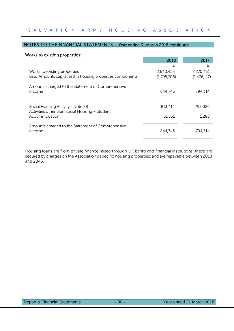# NOTES TO THE FINANCIAL STATEMENTS – Year ended 31 March 2018 continued

#### Works to existing properties:

|                                                                 | 2018        | 2017        |
|-----------------------------------------------------------------|-------------|-------------|
|                                                                 | £           | £           |
| Works to existing properties                                    | 2,640,453   | 2,270,431   |
| Less: Amounts capitalised in housing properties components      | (1,795,708) | (1,476,117) |
| Amounts charged to the Statement of Comprehensive<br>Income     | 844,745     | 794.314     |
| Social Housing Activity - Note 2B                               | 813,414     | 793,026     |
| Activities other than Social Housing - Student<br>Accommodation | 31,331      | 1,288       |
| Amounts charged to the Statement of Comprehensive<br>Income     | 844,745     | 794.314     |

Housing loans are from private finance raised through UK banks and financial institutions, these are secured by charges on the Association's specific housing properties, and are repayable between 2018 and 2043.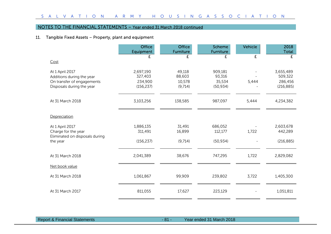## 11. Tangible Fixed Assets – Property, plant and equipment

|                                                                                                         | <b>Office</b><br>Equipment                    | <b>Office</b><br>Furniture            | Scheme<br>Furniture                      | Vehicle | 2018<br>Total                                 |
|---------------------------------------------------------------------------------------------------------|-----------------------------------------------|---------------------------------------|------------------------------------------|---------|-----------------------------------------------|
| Cost                                                                                                    | £                                             | £                                     | £                                        | £       | £                                             |
| At 1 April 2017<br>Additions during the year<br>On transfer of engagements<br>Disposals during the year | 2,697,190<br>327,403<br>234,900<br>(156, 237) | 49,118<br>88,603<br>10,578<br>(9,714) | 909,181<br>93,316<br>35,534<br>(50, 934) | 5,444   | 3,655,489<br>509,322<br>286,456<br>(216, 885) |
| At 31 March 2018                                                                                        | 3,103,256                                     | 138,585                               | 987,097                                  | 5,444   | 4,234,382                                     |
| Depreciation                                                                                            |                                               |                                       |                                          |         |                                               |
| At 1 April 2017<br>Charge for the year<br>Eliminated on disposals during                                | 1,886,135<br>311,491                          | 31,491<br>16,899                      | 686,052<br>112,177                       | 1,722   | 2,603,678<br>442,289                          |
| the year                                                                                                | (156, 237)                                    | (9,714)                               | (50, 934)                                |         | (216, 885)                                    |
| At 31 March 2018                                                                                        | 2,041,389                                     | 38,676                                | 747,295                                  | 1,722   | 2,829,082                                     |
| Net book value                                                                                          |                                               |                                       |                                          |         |                                               |
| At 31 March 2018                                                                                        | 1,061,867                                     | 99,909                                | 239,802                                  | 3,722   | 1,405,300                                     |
| At 31 March 2017                                                                                        | 811,055                                       | 17,627                                | 223,129                                  |         | 1,051,811                                     |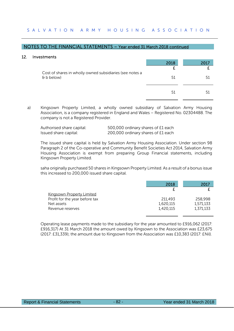#### 12. Investments

| <b>טענוויטונט</b>                                                             |      |      |
|-------------------------------------------------------------------------------|------|------|
|                                                                               | 2018 | 2017 |
|                                                                               |      |      |
| Cost of shares in wholly owned subsidiaries (see notes a<br>$\theta$ b below) | 51   | 51   |
|                                                                               |      |      |
|                                                                               | 51   | 51   |
|                                                                               |      |      |
|                                                                               |      |      |

a) Kingsown Property Limited, a wholly owned subsidiary of Salvation Army Housing Association, is a company registered in England and Wales – Registered No. 02304488. The company is not a Registered Provider.

| Authorised share capital: | 500,000 ordinary shares of £1 each |
|---------------------------|------------------------------------|
| Issued share capital:     | 200,000 ordinary shares of £1 each |

The issued share capital is held by Salvation Army Housing Association. Under section 98 Paragraph 2 of the Co-operative and Community Benefit Societies Act 2014, Salvation Army Housing Association is exempt from preparing Group Financial statements, including Kingsown Property Limited.

 saha originally purchased 50 shares in Kingsown Property Limited. As a result of a bonus issue this increased to 200,000 issued share capital.

|                                  | 2018      | 2017      |
|----------------------------------|-----------|-----------|
|                                  |           |           |
| <b>Kingsown Property Limited</b> |           |           |
| Profit for the year before tax   | 211,493   | 258,998   |
| Net assets                       | 1,620,115 | 1,571,133 |
| Revenue reserves                 | 1,420,115 | 1,371,133 |

Operating lease payments made to the subsidiary for the year amounted to £916,062 (2017: £916,317) At 31 March 2018 the amount owed by Kingsown to the Association was £23,675 (2017: £31,339); the amount due to Kingsown from the Association was £10,383 (2017: £Nil).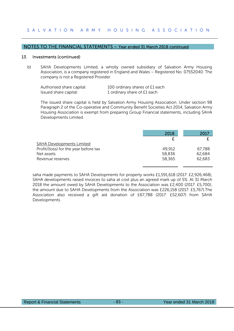#### 13. Investments (continued)

b) SAHA Developments Limited, a wholly owned subsidiary of Salvation Army Housing Association, is a company registered in England and Wales – Registered No. 07552040. The company is not a Registered Provider.

| Authorised share capital: | 100 ordinary shares of £1 each |
|---------------------------|--------------------------------|
| Issued share capital:     | 1 ordinary share of £1 each    |

The issued share capital is held by Salvation Army Housing Association. Under section 98 Paragraph 2 of the Co-operative and Community Benefit Societies Act 2014, Salvation Army Housing Association is exempt from preparing Group Financial statements, including SAHA Developments Limited.

|                                       | 2018   | 2017   |
|---------------------------------------|--------|--------|
|                                       |        |        |
| <b>SAHA Developments Limited</b>      |        |        |
| Profit/(loss) for the year before tax | 49,912 | 67,788 |
| Net assets                            | 58,836 | 62,684 |
| Revenue reserves                      | 58,365 | 62,683 |

saha made payments to SAHA Developments for property works £1,591,618 (2017: £2,926,468), SAHA developments raised invoices to saha at cost plus an agreed mark up of 5%. At 31 March 2018 the amount owed by SAHA Developments to the Association was £2,400 (2017: £5,700); the amount due to SAHA Developments from the Association was £226,158 (2017: £5,767).The Association also received a gift aid donation of £67,788 (2017: £52,607) from SAHA Developments.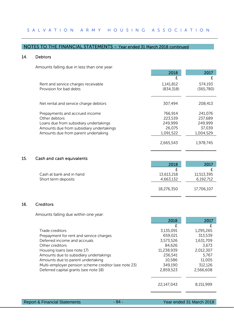## 14. Debtors

Amounts falling due in less than one year:

|                                          | 2018       | 2017      |
|------------------------------------------|------------|-----------|
|                                          | £          | £         |
| Rent and service charges receivable      | 1,141,812  | 574,193   |
| Provision for bad debts                  | (834, 318) | (365,780) |
|                                          |            |           |
|                                          |            |           |
| Net rental and service charge debtors    | 307,494    | 208,413   |
| Prepayments and accrued income           | 766,914    | 241,076   |
| Other debtors                            | 223,539    | 237,689   |
| Loans due from subsidiary undertakings   | 249,999    | 249,999   |
| Amounts due from subsidiary undertakings | 26,075     | 37.039    |
| Amounts due from parent undertaking      | 1,091,522  | 1,004,529 |
|                                          |            |           |
|                                          | 2,665,543  | 1,978,745 |

## 15. Cash and cash equivalents

|                          | 2018       | 2017       |
|--------------------------|------------|------------|
|                          |            |            |
| Cash at bank and in hand | 13,613,218 | 11,513,395 |
| Short term deposits      | 4,663,132  | 6,192,712  |
|                          | 18,276,350 | 17,706,107 |

# 16. Creditors

Amounts falling due within one year:

|                                                      | 2018       | 2017      |
|------------------------------------------------------|------------|-----------|
|                                                      | F          |           |
| Trade creditors                                      | 3,135,091  | 1,295,265 |
| Prepayment for rent and service charges              | 659,021    | 313,539   |
| Deferred income and accruals                         | 3,573,526  | 1,631,709 |
| Other creditors                                      | 84,626     | 3,673     |
| Housing loans (see note 17)                          | 11,238,939 | 2,012,307 |
| Amounts due to subsidiary undertakings               | 236,541    | 5.767     |
| Amounts due to parent undertaking                    | 10,586     | 11,005    |
| Multi-employer pension scheme creditor (see note 23) | 349,190    | 312,126   |
| Deferred capital grants (see note 18)                | 2,859,523  | 2,566,608 |
|                                                      |            |           |
|                                                      |            |           |
|                                                      | 22,147,043 | 8.151.999 |
|                                                      |            |           |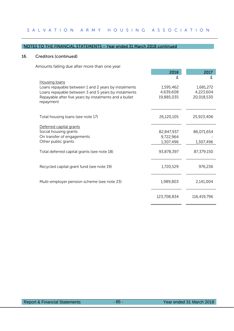## 16. Creditors (continued)

Amounts falling due after more than one year:

|                                                                                                                                                                                                      | 2018                                 | 2017                                 |
|------------------------------------------------------------------------------------------------------------------------------------------------------------------------------------------------------|--------------------------------------|--------------------------------------|
|                                                                                                                                                                                                      | £                                    | £                                    |
| Housing loans<br>Loans repayable between 1 and 2 years by instalments<br>Loans repayable between 3 and 5 years by instalments<br>Repayable after five years by instalments and a bullet<br>repayment | 1,595,462<br>4,639,608<br>19,885,035 | 1,681,272<br>4,223,604<br>20,018,530 |
| Total housing loans (see note 17)                                                                                                                                                                    | 26,120,105                           | 25,923,406                           |
| Deferred capital grants<br>Social housing grants                                                                                                                                                     | 82,847,937                           | 86,071,654                           |
| On transfer of engagements<br>Other public grants                                                                                                                                                    | 9,722,964<br>1,307,496               | 1,307,496                            |
| Total deferred capital grants (see note 18)                                                                                                                                                          | 93,878,397                           | 87,379,150                           |
| Recycled capital grant fund (see note 19)                                                                                                                                                            | 1,720,529                            | 976,236                              |
| Multi-employer pension scheme (see note 23)                                                                                                                                                          | 1,989,803                            | 2,141,004                            |
|                                                                                                                                                                                                      | 123,708,834                          | 116,419,796                          |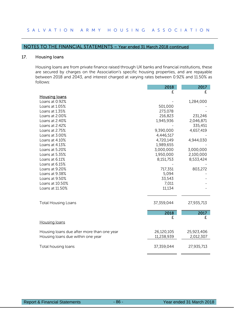## 17. Housing loans

Housing loans are from private finance raised through UK banks and financial institutions, these are secured by charges on the Association's specific housing properties, and are repayable between 2018 and 2043, and interest charged at varying rates between 0.92% and 11.50% as follows:

|                                            | 2018       | 2017       |
|--------------------------------------------|------------|------------|
|                                            | £          | £          |
| <b>Housing loans</b>                       |            |            |
| Loans at 0.92%                             |            | 1,284,000  |
| Loans at 1.05%                             | 501,000    |            |
| Loans at 1.35%                             | 273,078    |            |
| Loans at 2.00%                             | 216,823    | 231,246    |
| Loans at 2.40%                             | 1,945,936  | 2,046,871  |
| Loans at 2.42%                             |            | 335,451    |
| Loans at 2.75%                             | 9,390,000  | 4,657,419  |
| Loans at 3.00%                             | 4,446,517  |            |
| Loans at 4.10%                             | 4,720,149  | 4,944,030  |
| Loans at 4.13%                             | 1,989,655  |            |
| Loans at 5.20%                             | 3,000,000  | 3,000,000  |
| Loans at 5.35%                             | 1,950,000  | 2,100,000  |
| Loans at 6.11%                             | 8,151,753  | 8,533,424  |
| Loans at 6.15%                             |            |            |
| Loans at 9.20%                             | 717,351    | 803,272    |
| Loans at 9.38%                             | 5,094      |            |
| Loans at 9.50%                             | 33,543     |            |
| Loans at 10.50%                            | 7,011      |            |
| Loans at 11.50%                            | 11,134     |            |
|                                            |            |            |
| <b>Total Housing Loans</b>                 | 37,359,044 | 27,935,713 |
|                                            |            |            |
|                                            | 2018       | 2017       |
|                                            | £          | £          |
| Housing loans                              |            |            |
| Housing loans due after more than one year | 26,120,105 | 25,923,406 |
| Housing loans due within one year          | 11,238,939 | 2,012,307  |
|                                            |            |            |
| Total housing loans                        | 37,359,044 | 27,935,713 |
|                                            |            |            |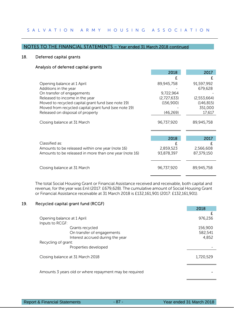## 18. Deferred capital grants

## Analysis of deferred capital grants

|                                                        | 2018        | 2017        |
|--------------------------------------------------------|-------------|-------------|
|                                                        |             |             |
| Opening balance at 1 April                             | 89,945,758  | 91,597,992  |
| Additions in the year                                  |             | 679,628     |
| On transfer of engagements                             | 9,722,964   |             |
| Released to income in the year                         | (2,727,633) | (2,553,664) |
| Moved to recycled capital grant fund (see note 19)     | (156,900)   | (146, 815)  |
| Moved from recycled capital grant fund (see note 19)   |             | 351,000     |
| Released on disposal of property                       | (46, 269)   | 17,617      |
| Closing balance at 31 March                            | 96,737,920  | 89,945,758  |
|                                                        |             |             |
|                                                        | 2018        | 2017        |
| Classified as:                                         |             |             |
| Amounts to be released within one year (note 16)       | 2,859,523   | 2,566,608   |
| Amounts to be released in more than one year (note 16) | 93,878,397  | 87,379,150  |
| Closing balance at 31 March                            | 96,737,920  | 89,945,758  |

The total Social Housing Grant or Financial Assistance received and receivable, both capital and revenue, for the year was £nil (2017: £679,628). The cumulative amount of Social Housing Grant or Financial Assistance receivable at 31 March 2018 is £132,161,901 (2017: £132,161,901).

# 19. Recycled capital grant fund (RCGF)

|                                                                                   | 2018                        |
|-----------------------------------------------------------------------------------|-----------------------------|
| Opening balance at 1 April<br>Inputs to RCGF:                                     | F<br>976,236                |
| Grants recycled<br>On transfer of engagements<br>Interest accrued during the year | 156,900<br>582,541<br>4,852 |
| Recycling of grant:<br>Properties developed                                       |                             |
| Closing balance at 31 March 2018                                                  | 1,720,529                   |
| Amounts 3 years old or where repayment may be required                            |                             |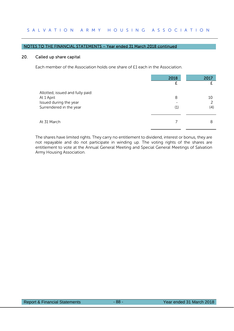#### NOTES TO THE FINANCIAL STATEMENTS – Year ended 31 March 2018 continued

## 20. Called up share capital

Each member of the Association holds one share of £1 each in the Association.

|                                                                                                     | 2018     | 2017      |
|-----------------------------------------------------------------------------------------------------|----------|-----------|
| Allotted, issued and fully paid:<br>At 1 April<br>Issued during the year<br>Surrendered in the year | 8<br>(1) | 10<br>(4) |
| At 31 March                                                                                         |          | 8         |

The shares have limited rights. They carry no entitlement to dividend, interest or bonus, they are not repayable and do not participate in winding up. The voting rights of the shares are entitlement to vote at the Annual General Meeting and Special General Meetings of Salvation Army Housing Association.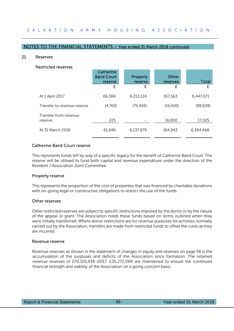#### 21. Reserves

#### Restricted reserves

|                                  | Catherine<br><b>Baird Court</b><br>reserve<br>£ | <b>Property</b><br>reserve<br>£ | Other<br>reserves<br>£ | Total<br>£ |
|----------------------------------|-------------------------------------------------|---------------------------------|------------------------|------------|
| At 1 April 2017                  | 66,384                                          | 6,213,124                       | 167,563                | 6,447,071  |
| Transfer to revenue reserve      | (4,763)                                         | (75, 445)                       | (19, 420)              | (99, 628)  |
| Transfer from revenue<br>reserve | 225                                             |                                 | 16,800                 | 17,025     |
| At 31 March 2018                 | 61,846                                          | 6,137,679                       | 164,943                | 6,364,468  |

# Catherine Baird Court reserve

This represents funds left by way of a specific legacy for the benefit of Catherine Baird Court. The reserve will be utilised to fund both capital and revenue expenditure under the direction of the Resident / Association Joint Committee.

#### Property reserve

This represents the proportion of the cost of properties that was financed by charitable donations with on-going legal or constructive obligations to restrict the use of the funds.

#### Other reserves

Other restricted reserves are subject to specific restrictions imposed by the donor or by the nature of the appeal or grant. The Association holds these funds based on terms outlined when they were initially transferred. Where donor restrictions are for revenue purposes for activities normally carried out by the Association, transfers are made from restricted funds to offset the costs as they are incurred.

#### Revenue reserve

Revenue reserves as shown in the statement of changes in equity and reserves on page 56 is the accumulation of the surpluses and deficits of the Association since formation. The retained revenue reserves of £70,155,438 (2017: £35,272,194) are maintained to ensure the continued financial strength and viability of the Association on a going concern basis.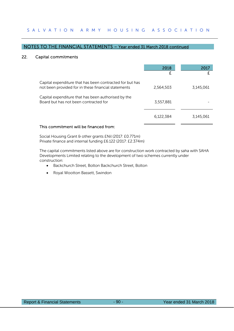## 22. Capital commitments

|                                                                                                                 | 2018<br>£ | 2017      |
|-----------------------------------------------------------------------------------------------------------------|-----------|-----------|
| Capital expenditure that has been contracted for but has<br>not been provided for in these financial statements | 2,564,503 | 3,145,061 |
| Capital expenditure that has been authorised by the<br>Board but has not been contracted for                    | 3,557,881 |           |
|                                                                                                                 | 6,122,384 | 3,145,061 |
| This commitment will be financed from:                                                                          |           |           |

Social Housing Grant & other grants £Nil (2017: £0.771m)

Private finance and internal funding £6.122 (2017: £2.374m)

The capital commitments listed above are for construction work contracted by saha with SAHA Developments Limited relating to the development of two schemes currently under construction:

- Backchurch Street, Bolton Backchurch Street, Bolton
- Royal Wootton Bassett, Swindon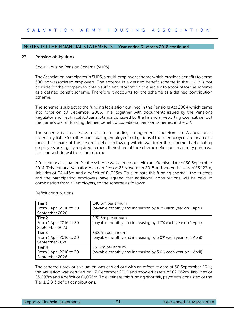#### 23. Pension obligations

Social Housing Pension Scheme (SHPS)

The Association participates in SHPS, a multi-employer scheme which provides benefits to some 500 non-associated employers. The scheme is a defined benefit scheme in the UK. It is not possible for the company to obtain sufficient information to enable it to account for the scheme as a defined benefit scheme. Therefore it accounts for the scheme as a defined contribution scheme.

The scheme is subject to the funding legislation outlined in the Pensions Act 2004 which came into force on 30 December 2005. This, together with documents issued by the Pensions Regulator and Technical Actuarial Standards issued by the Financial Reporting Council, set out the framework for funding defined benefit occupational pension schemes in the UK.

The scheme is classified as a 'last-man standing arrangement'. Therefore the Association is potentially liable for other participating employers' obligations if those employers are unable to meet their share of the scheme deficit following withdrawal from the scheme. Participating employers are legally required to meet their share of the scheme deficit on an annuity purchase basis on withdrawal from the scheme.

A full actuarial valuation for the scheme was carried out with an effective date of 30 September 2014. This actuarial valuation was certified on 23 November 2015 and showed assets of £3,123m, liabilities of £4,446m and a deficit of £1,323m. To eliminate this funding shortfall, the trustees and the participating employers have agreed that additional contributions will be paid, in combination from all employers, to the scheme as follows:

| Tier 1                  | £40.6m per annum                                              |
|-------------------------|---------------------------------------------------------------|
| From 1 April 2016 to 30 | (payable monthly and increasing by 4.7% each year on 1 April) |
| September 2020          |                                                               |
| Tier 2                  | £28.6m per annum                                              |
| From 1 April 2016 to 30 | (payable monthly and increasing by 4.7% each year on 1 April) |
| September 2023          |                                                               |
| Tier 3                  | £32.7m per annum                                              |
| From 1 April 2016 to 30 | (payable monthly and increasing by 3.0% each year on 1 April) |
| September 2026          |                                                               |
| Tier 4                  | £31.7m per annum                                              |
| From 1 April 2016 to 30 | (payable monthly and increasing by 3.0% each year on 1 April) |
| September 2026          |                                                               |

Deficit contributions

The scheme's previous valuation was carried out with an effective date of 30 September 2011; this valuation was certified on 17 December 2012 and showed assets of £2,062m, liabilities of £3,097m and a deficit of £1,035m. To eliminate this funding shortfall, payments consisted of the Tier 1, 2 & 3 deficit contributions.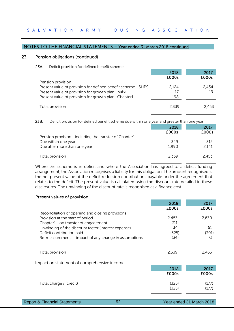# NOTES TO THE FINANCIAL STATEMENTS – Year ended 31 March 2018 continued

#### 23. Pension obligations (continued)

#### 23A. Deficit provision for defined benefit scheme

|                                                              | 2018  | 2017  |
|--------------------------------------------------------------|-------|-------|
|                                                              | £000s | £000s |
| Pension provision                                            |       |       |
| Present value of provision for defined benefit scheme - SHPS | 2.124 | 2.434 |
| Present value of provision for growth plan - saha            | 17    | 19    |
| Present value of provision for growth plan- Chapter1         | 198   |       |
|                                                              |       |       |
| Total provision                                              | 2.339 | 2.453 |
|                                                              |       |       |

23B. Deficit provision for defined benefit scheme due within one year and greater than one year

|                                                        | 2018  | 2017  |
|--------------------------------------------------------|-------|-------|
|                                                        | £000s | £000s |
| Pension provision - including the transfer of Chapter1 |       |       |
| Due within one year                                    | 349   | 312   |
| Due after more than one year                           | 1,990 | 2,141 |
|                                                        |       |       |
| Total provision                                        | 2.339 | 2,453 |

Where the scheme is in deficit and where the Association has agreed to a deficit funding arrangement, the Association recognises a liability for this obligation. The amount recognised is the net present value of the deficit reduction contributions payable under the agreement that relates to the deficit. The present value is calculated using the discount rate detailed in these disclosures. The unwinding of the discount rate is recognised as a finance cost.

## Present values of provision

|                                                       | 2018  | 2017  |
|-------------------------------------------------------|-------|-------|
|                                                       | £000s | £000s |
| Reconciliation of opening and closing provisions      |       |       |
| Provision at the start of period                      | 2,453 | 2,630 |
| Chapter1 - on transfer of engagement                  | 211   |       |
| Unwinding of the discount factor (interest expense)   | 34    | 51    |
| Deficit contribution paid                             | (325) | (301) |
| Re-measurements - impact of any change in assumptions | (34)  | 73    |
|                                                       |       |       |
|                                                       |       |       |
| Total provision                                       | 2,339 | 2,453 |
|                                                       |       |       |
| Impact on statement of comprehensive income           |       |       |
|                                                       | 2018  | 2017  |
|                                                       | £000s | £000s |
|                                                       |       |       |
| Total charge / (credit)                               | (325) | (177) |
|                                                       | (325) | (177) |
|                                                       |       |       |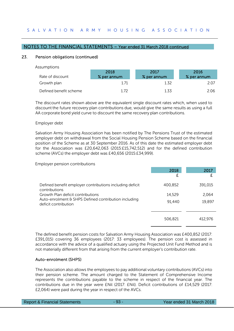#### NOTES TO THE FINANCIAL STATEMENTS – Year ended 31 March 2018 continued

#### 23. Pension obligations (continued)

Assumptions

| Rate of discount       | 2018<br>% per annum | 2017<br>% per annum | 2016<br>% per annum |
|------------------------|---------------------|---------------------|---------------------|
| Growth plan            | 1.71                | 1.32                | 2.07                |
| Defined benefit scheme | 172                 | 1.33                | 2.06                |

The discount rates shown above are the equivalent single discount rates which, when used to discount the future recovery plan contributions due, would give the same results as using a full AA corporate bond yield curve to discount the same recovery plan contributions.

#### Employer debt

Salvation Army Housing Association has been notified by The Pensions Trust of the estimated employer debt on withdrawal from the Social Housing Pension Scheme based on the financial position of the Scheme as at 30 September 2016. As of this date the estimated employer debt for the Association was £20,642,063 (2015:£15,742,512) and for the defined contribution scheme (AVCs) the employer debt was £40,656 (2015:£34,999).

Employer pension contributions

|                                                                                                                   | 2018<br>£        | 2017            |
|-------------------------------------------------------------------------------------------------------------------|------------------|-----------------|
| Defined benefit employer contributions including deficit<br>contributions                                         | 400,852          | 391,015         |
| Growth Plan deficit contributions<br>Auto-enrolment & SHPS Defined contribution including<br>deficit contribution | 14,529<br>91,440 | 2,064<br>19,897 |
|                                                                                                                   |                  |                 |
|                                                                                                                   | 506,821          | 412,976         |

The defined benefit pension costs for Salvation Army Housing Association was £400,852 (2017: £391,015) covering 36 employees (2017: 33 employees). The pension cost is assessed in accordance with the advice of a qualified actuary using the Projected Unit Fund Method and is not materially different from that arising from the current employer's contribution rate.

#### Auto-enrolment (SHPS)

The Association also allows the employees to pay additional voluntary contributions (AVCs) into their pension scheme. The amount charged to the Statement of Comprehensive Income represents the contributions payable to the scheme in respect of the financial year. The contributions due in the year were £Nil (2017: £Nil). Deficit contributions of £14,529 (2017: £2,064) were paid during the year in respect of the AVCs.

| Report & Financial Statements | $-93 -$ | Year ended 31 March 2018 |
|-------------------------------|---------|--------------------------|
|                               |         |                          |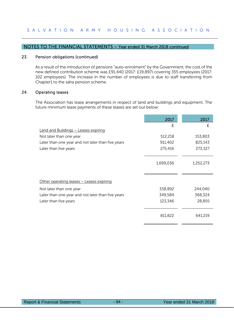## 23. Pension obligations (continued)

As a result of the introduction of pensions "auto-enrolment" by the Government, the cost of the new defined contribution scheme was £91,440 (2017: £19,897) covering 355 employees (2017: 102 employees). The increase in the number of employees is due to staff transferring from Chapter1 to the saha pension scheme.

### 24. Operating leases

The Association has lease arrangements in respect of land and buildings and equipment. The future minimum lease payments of these leases are set out below:

|                                                   | 2017      | 2017      |
|---------------------------------------------------|-----------|-----------|
|                                                   | £         | £         |
| <b>Land and Buildings - Leases expiring</b>       |           |           |
| Not later than one year                           | 512,218   | 153,803   |
| Later than one year and not later than five years | 911,402   | 825,143   |
| Later than five years                             | 275,416   | 273,327   |
|                                                   | 1,699,036 | 1,252,273 |
| Other operating leases - Leases expiring          |           |           |
| Not later than one year                           | 338,892   | 244,040   |
| Later than one year and not later than five years | 349,584   | 368,324   |
| Later than five years                             | 123,346   | 28,855    |
|                                                   | 811,822   | 641,219   |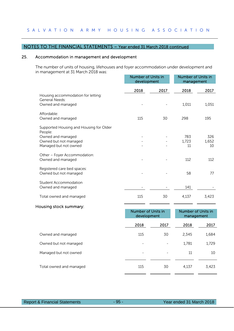#### NOTES TO THE FINANCIAL STATEMENTS – Year ended 31 March 2018 continued

## 25. Accommodation in management and development

The number of units of housing, lifehouses and foyer accommodation under development and in management at 31 March 2018 was:

|                                                                                                                           | <b>Number of Units in</b><br>development |      | Number of Units in<br>management |                    |
|---------------------------------------------------------------------------------------------------------------------------|------------------------------------------|------|----------------------------------|--------------------|
|                                                                                                                           | 2018                                     | 2017 | 2018                             | 2017               |
| Housing accommodation for letting:<br>General Needs:<br>Owned and managed                                                 |                                          |      | 1,011                            | 1,051              |
| Affordable:<br>Owned and managed                                                                                          | 115                                      | 30   | 298                              | 195                |
| Supported Housing and Housing for Older<br>People:<br>Owned and managed<br>Owned but not managed<br>Managed but not owned |                                          |      | 783<br>1,723<br>11               | 326<br>1,652<br>10 |
| Other - Foyer Accommodation:<br>Owned and managed                                                                         |                                          |      | 112                              | 112                |
| Registered care bed spaces:<br>Owned but not managed                                                                      |                                          |      | 58                               | 77                 |
| <b>Student Accommodation</b><br>Owned and managed                                                                         |                                          |      | 141                              |                    |
| Total owned and managed                                                                                                   | 115                                      | 30   | 4,137                            | 3,423              |

#### Housing stock summary:

|                         | Number of Units in<br>development |      | Number of Units in<br>management |       |
|-------------------------|-----------------------------------|------|----------------------------------|-------|
|                         | 2018                              | 2017 | 2018                             | 2017  |
| Owned and managed       | 115                               | 30   | 2,345                            | 1,684 |
| Owned but not managed   | -                                 |      | 1,781                            | 1,729 |
| Managed but not owned   | -                                 |      | 11                               | 10    |
|                         |                                   |      |                                  |       |
| Total owned and managed | 115                               | 30   | 4,137                            | 3,423 |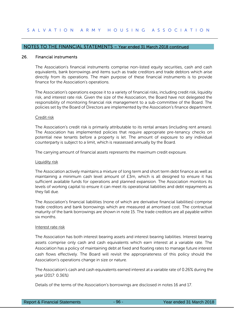#### 26. Financial instruments

 The Association's financial instruments comprise non-listed equity securities, cash and cash equivalents, bank borrowings and items such as trade creditors and trade debtors which arise directly from its operations. The main purpose of these financial instruments is to provide finance for the Association's operations.

The Association's operations expose it to a variety of financial risks, including credit risk, liquidity risk, and interest rate risk. Given the size of the Association, the Board have not delegated the responsibility of monitoring financial risk management to a sub-committee of the Board. The policies set by the Board of Directors are implemented by the Association's finance department.

#### Credit risk

The Association's credit risk is primarily attributable to its rental arrears (including rent arrears). The Association has implemented policies that require appropriate pre-tenancy checks on potential new tenants before a property is let. The amount of exposure to any individual counterparty is subject to a limit, which is reassessed annually by the Board.

The carrying amount of financial assets represents the maximum credit exposure.

#### Liquidity risk

The Association actively maintains a mixture of long term and short term debt finance as well as maintaining a minimum cash level amount of £3m, which is all designed to ensure it has sufficient available funds for operations and planned expansion. The Association monitors its levels of working capital to ensure it can meet its operational liabilities and debt repayments as they fall due.

The Association's financial liabilities (none of which are derivative financial liabilities) comprise trade creditors and bank borrowings which are measured at amortised cost. The contractual maturity of the bank borrowings are shown in note 15. The trade creditors are all payable within six months.

#### Interest rate risk

The Association has both interest bearing assets and interest bearing liabilities. Interest bearing assets comprise only cash and cash equivalents which earn interest at a variable rate. The Association has a policy of maintaining debt at fixed and floating rates to manage future interest cash flows effectively. The Board will revisit the appropriateness of this policy should the Association's operations change in size or nature.

The Association's cash and cash equivalents earned interest at a variable rate of 0.26% during the year (2017: 0.36%)

Details of the terms of the Association's borrowings are disclosed in notes 16 and 17.

| <b>Report &amp; Financial Statements</b> |
|------------------------------------------|
|------------------------------------------|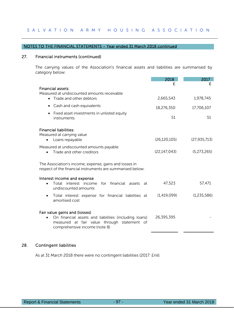#### 27. Financial instruments (continued)

The carrying values of the Association's financial assets and liabilities are summarised by category below:

|                                                                                                                                                                        | 2018           | 2017           |
|------------------------------------------------------------------------------------------------------------------------------------------------------------------------|----------------|----------------|
| Financial assets:<br>Measured at undiscounted amounts receivable<br>Trade and other debtors                                                                            | 2,665,543      | f<br>1,978,745 |
| Cash and cash equivalents<br>$\bullet$                                                                                                                                 | 18,276,350     | 17,706,107     |
| Fixed asset investments in unlisted equity<br>instruments                                                                                                              | 51             | 51             |
| <b>Financial liabilities:</b><br>Measured at carrying value<br>Loans repayable                                                                                         | (26, 120, 105) | (27, 935, 713) |
| Measured at undiscounted amounts payable<br>Trade and other creditors                                                                                                  | (22, 147, 043) | (5,273,265)    |
| The Association's income, expense, gains and losses in<br>respect of the financial instruments are summarised below:                                                   |                |                |
| Interest income and expense<br>Total interest income for financial assets<br>at<br>undiscounted amounts                                                                | 47,523         | 57,471         |
| Total interest expense for financial liabilities at<br>amortised cost                                                                                                  | (1,419,099)    | (1,235,586)    |
| Fair value gains and (losses)<br>On financial assets and liabilities (including loans)<br>measured at fair value through statement of<br>comprehensive income (note 8) | 26,395,395     |                |

# 28. Contingent liabilities

As at 31 March 2018 there were no contingent liabilities (2017: £nil).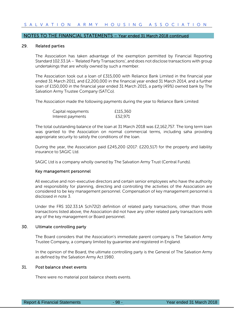#### 29. Related parties

The Association has taken advantage of the exemption permitted by Financial Reporting Standard 102.33.1A – 'Related Party Transactions', and does not disclose transactions with group undertakings that are wholly owned by such a member.

The Association took out a loan of £315,000 with Reliance Bank Limited in the financial year ended 31 March 2011, and £2,200,000 in the financial year ended 31 March 2014, and a further loan of £150,000 in the financial year ended 31 March 2015, a partly (49%) owned bank by The Salvation Army Trustee Company (SATCo).

The Association made the following payments during the year to Reliance Bank Limited:

| Capital repayments | £115,360 |
|--------------------|----------|
| Interest payments  | £52,971  |

The total outstanding balance of the loan at 31 March 2018 was £2,162,757. The long term loan was granted to the Association on normal commercial terms, including saha providing appropriate security to satisfy the conditions of the loan.

During the year, the Association paid £245,200 (2017: £220,517) for the property and liability insurance to SAGIC Ltd.

SAGIC Ltd is a company wholly owned by The Salvation Army Trust (Central Funds).

#### Key management personnel

All executive and non-executive directors and certain senior employees who have the authority and responsibility for planning, directing and controlling the activities of the Association are considered to be key management personnel. Compensation of key management personnel is disclosed in note 3.

Under the FRS 102.33.1A Sch72(2) definition of related party transactions, other than those transactions listed above, the Association did not have any other related party transactions with any of the key management or Board personnel.

# 30. Ultimate controlling party

The Board considers that the Association's immediate parent company is The Salvation Army Trustee Company, a company limited by guarantee and registered in England.

In the opinion of the Board, the ultimate controlling party is the General of The Salvation Army as defined by the Salvation Army Act 1980.

## 31. Post balance sheet events

There were no material post balance sheets events.